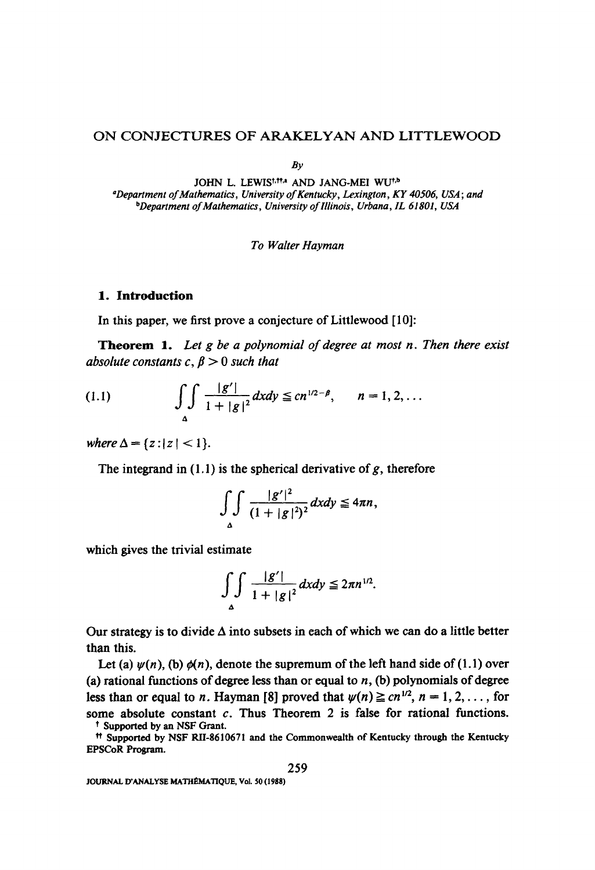# ON CONJECTURES OF ARAKELYAN AND LITTLEWOOD

 $Bv$ 

JOHN L. LEWIS<sup>t, tt,a</sup> AND JANG-MEI WU<sup>t,b</sup> *aDepartment of Mathematics, University of Kentucky, Lexington, KY 40506, USA; and bDepartment of Mathematics, University of Illinois, Urbana, IL 61801, USA* 

### *To Walter Hayman*

### **1. Introduction**

In this paper, we first prove a conjecture of Littlewood [10]:

**Theorem** 1. *Let g be a polynomial of degree at most n. Then there exist absolute constants c,*  $\beta > 0$  *such that* 

(1.1) 
$$
\int_{\Delta} \int \frac{|g'|}{1+|g|^2} dxdy \leq cn^{1/2-\beta}, \qquad n=1, 2, ...
$$

*where*  $\Delta = \{z : |z| < 1\}.$ 

The integrand in  $(1.1)$  is the spherical derivative of g, therefore

$$
\int_{\Delta} \int \frac{|g'|^2}{(1+|g|^2)^2} dxdy \leq 4\pi n,
$$

which gives the trivial estimate

$$
\int_{\Delta} \int \frac{|g'|}{1+|g|^2} dxdy \leq 2\pi n^{1/2}.
$$

Our strategy is to divide  $\Delta$  into subsets in each of which we can do a little better than this.

Let (a)  $\psi(n)$ , (b)  $\phi(n)$ , denote the supremum of the left hand side of (1.1) over (a) rational functions of degree less than or equal to  $n$ , (b) polynomials of degree less than or equal to *n*. Hayman [8] proved that  $\psi(n) \geq c n^{1/2}$ ,  $n = 1, 2, \ldots$ , for some absolute constant  $c$ . Thus Theorem 2 is false for rational functions. t Supported by an NSF Grant.

tt Supported by NSF RII-8610671 and the Commonwealth of Kentucky through the Kentucky **EPSCoR** Program.

JOURNAL D'ANALYSE MATHÉMATIQUE, Vol. 50 (1988)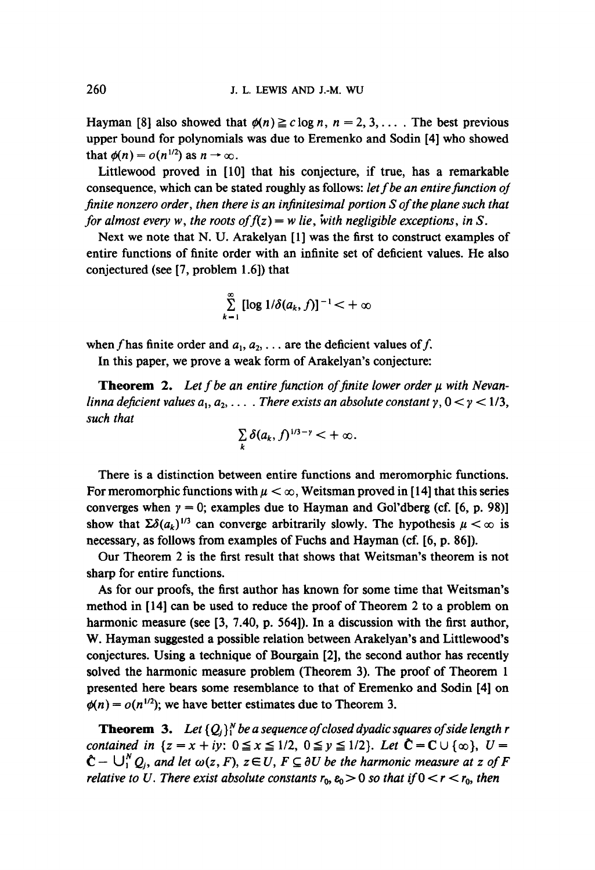Hayman [8] also showed that  $\phi(n) \ge c \log n$ ,  $n = 2, 3, \ldots$ . The best previous upper bound for polynomials was due to Eremenko and Sodin [4] who showed that  $\phi(n) = o(n^{1/2})$  as  $n \to \infty$ .

Littlewood proved in [10] that his conjecture, if true, has a remarkable consequence, which can be stated roughly as follows: *let f be an entire function of finite nonzero order, then there is an infinitesimal portion S of the plane such that for almost every w, the roots of*  $f(z) = w$  *lie, with negligible exceptions, in S.* 

Next we note that N. U. Arakelyan [1] was the first to construct examples of entire functions of finite order with an infinite set of deficient values. He also conjectured (see [7, problem 1.6]) that

$$
\sum_{k=1}^{\infty} [\log 1/\delta(a_k, f)]^{-1} < +\infty
$$

when f has finite order and  $a_1, a_2, \ldots$  are the deficient values of f.

In this paper, we prove a weak form of Arakelyan's conjecture:

**Theorem 2.** Let f be an entire function of finite lower order  $\mu$  with Nevan*linna deficient values*  $a_1, a_2, \ldots$ *. There exists an absolute constant*  $\gamma$ *,*  $0 < \gamma < 1/3$ *, such that* 

$$
\sum_{k}\delta(a_k,f)^{1/3-\gamma}<+\infty.
$$

There is a distinction between entire functions and meromorphic functions. For meromorphic functions with  $\mu < \infty$ , Weitsman proved in [14] that this series converges when  $y = 0$ ; examples due to Hayman and Gol'dberg (cf. [6, p. 98)] show that  $\sum \delta(a_k)^{1/3}$  can converge arbitrarily slowly. The hypothesis  $\mu < \infty$  is necessary, as follows from examples of Fuchs and Hayman (cf. [6, p. 86]).

Our Theorem 2 is the first result that shows that Weitsman's theorem is not sharp for entire functions.

As for our proofs, the first author has known for some time that Weitsman's method in [14] can be used to reduce the proof of Theorem 2 to a problem on harmonic measure (see [3, 7.40, p. 564]). In a discussion with the first author, W. Hayman suggested a possible relation between Arakelyan's and Littlewood's conjectures. Using a technique of Bourgain [2], the second author has recently solved the harmonic measure problem (Theorem 3). The proof of Theorem 1 presented here bears some resemblance to that of Eremenko and Sodin [4] on  $\phi(n) = o(n^{1/2})$ ; we have better estimates due to Theorem 3.

**Theorem 3.** Let  ${Q_i}_i^N$  be a sequence of closed dyadic squares of side length r *contained in*  $\{z = x + iy: 0 \le x \le 1/2, 0 \le y \le 1/2\}$ . *Let*  $\hat{C} = C \cup \{\infty\}$ ,  $U =$  $\hat{C}$  –  $\bigcup_{i=1}^{N} Q_i$ , and let  $\omega(z, F)$ ,  $z \in U$ ,  $F \subseteq \partial U$  be the harmonic measure at z of F *relative to U. There exist absolute constants*  $r_0$ ,  $\varepsilon_0 > 0$  so that if  $0 < r < r_0$ , then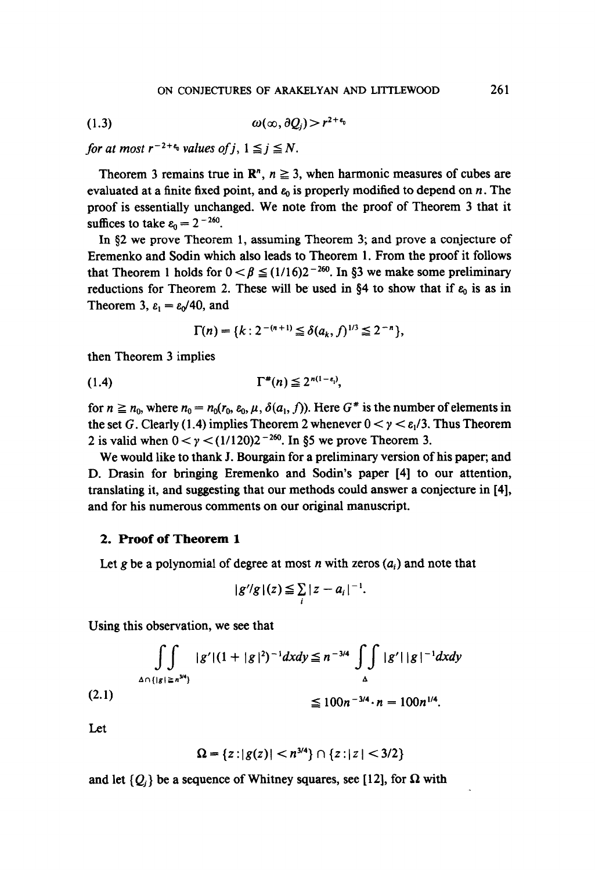$$
\omega(\infty, \partial Q_i) > r^{2+\epsilon_0}
$$

*for at most*  $r^{-2+\epsilon_0}$  *values of j*,  $1 \leq j \leq N$ .

Theorem 3 remains true in  $\mathbb{R}^n$ ,  $n \geq 3$ , when harmonic measures of cubes are evaluated at a finite fixed point, and  $\varepsilon_0$  is properly modified to depend on n. The proof is essentially unchanged. We note from the proof of Theorem 3 that it suffices to take  $\varepsilon_0 = 2^{-260}$ .

In  $\S2$  we prove Theorem 1, assuming Theorem 3; and prove a conjecture of Eremenko and Sodin which also leads to Theorem 1. From the proof it follows that Theorem 1 holds for  $0 < \beta \leq (1/16)2^{-260}$ . In §3 we make some preliminary reductions for Theorem 2. These will be used in §4 to show that if  $\varepsilon_0$  is as in Theorem 3,  $\varepsilon_1 = \varepsilon_0/40$ , and

$$
\Gamma(n) = \{k : 2^{-(n+1)} \leq \delta(a_k, f)^{1/3} \leq 2^{-n}\},\
$$

then Theorem 3 implies

$$
(1.4) \t\Gamma^*(n) \leq 2^{n(1-\epsilon_1)},
$$

for  $n \ge n_0$ , where  $n_0 = n_0(r_0, \varepsilon_0, \mu, \delta(a_1, f))$ . Here  $G^*$  is the number of elements in the set G. Clearly (1.4) implies Theorem 2 whenever  $0 < y < \varepsilon_1/3$ . Thus Theorem 2 is valid when  $0 < y < (1/120)2^{-260}$ . In §5 we prove Theorem 3.

We would like to thank J. Bourgain for a preliminary version of his paper; and D. Drasin for bringing Eremenko and Sodin's paper [4] to our attention, translating it, and suggesting that our methods could answer a conjecture in [4], and for his numerous comments on our original manuscript.

### 2. **Proof of Theorem** 1

Let g be a polynomial of degree at most n with zeros  $(a_i)$  and note that

$$
|g^{\prime}/g|(z) \leq \sum_i |z-a_i|^{-1}.
$$

Using this observation, we see that

$$
\iint_{\Delta \cap \{|g| \ge n^{3/4}\}} |g'|(1+|g|^2)^{-1} dx dy \le n^{-3/4} \iint_{\Delta} |g'|\, |g|^{-1} dx dy
$$
\n(2.1)\n
$$
\le 100n^{-3/4} \cdot n = 100n^{1/4}.
$$

Let

$$
\Omega = \{z : |g(z)| < n^{3/4}\} \cap \{z : |z| < 3/2\}
$$

and let  $\{Q_i\}$  be a sequence of Whitney squares, see [12], for  $\Omega$  with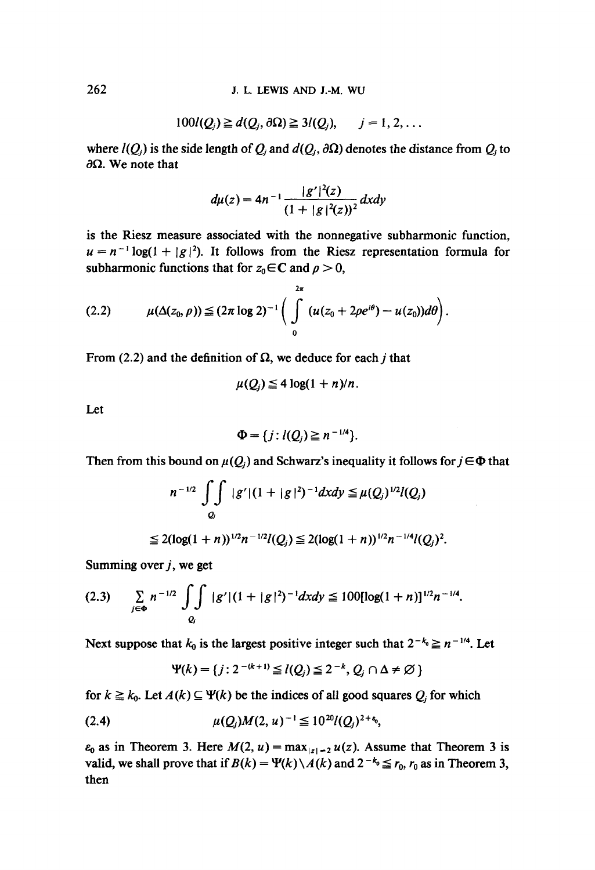$$
100l(Qj) \geq d(Qj, \partial \Omega) \geq 3l(Qj), \qquad j = 1, 2, ...
$$

where  $l(Q_i)$  is the side length of  $Q_i$  and  $d(Q_i, \partial\Omega)$  denotes the distance from  $Q_i$  to  $\partial\Omega$ . We note that

$$
d\mu(z) = 4n^{-1} \frac{|g'|^2(z)}{(1+|g|^2(z))^2} dxdy
$$

is the Riesz measure associated with the nonnegative subharmonic function,  $u = n^{-1} \log(1 + |g|^2)$ . It follows from the Riesz representation formula for subharmonic functions that for  $z_0 \in \mathbb{C}$  and  $\rho > 0$ ,

$$
(2.2) \qquad \mu(\Delta(z_0,\rho)) \leq (2\pi \log 2)^{-1} \bigg( \int\limits_{0}^{2\pi} (u(z_0 + 2\rho e^{i\theta}) - u(z_0)) d\theta \bigg).
$$

From (2.2) and the definition of  $\Omega$ , we deduce for each j that

$$
\mu(Q_i) \leq 4 \log(1+n)/n.
$$

Let

$$
\Phi = \{j : l(Q_j) \geq n^{-1/4}\}.
$$

Then from this bound on  $\mu(Q_i)$  and Schwarz's inequality it follows for  $j \in \Phi$  that

$$
n^{-1/2} \iint\limits_{Q_j} |g'| (1+|g|^2)^{-1} dx dy \leq \mu(Q_j)^{1/2} l(Q_j)
$$

$$
\leq 2(\log(1+n))^{1/2}n^{-1/2}l(Q_j)\leq 2(\log(1+n))^{1/2}n^{-1/4}l(Q_j)^2.
$$

Summing over  $j$ , we get

$$
(2.3) \qquad \sum_{j\in\Phi} n^{-1/2} \int\limits_{Q_j} \int\limits_{|g'|} |g'| (1+|g|^2)^{-1} dx dy \leq 100 [\log(1+n)]^{1/2} n^{-1/4}.
$$

Next suppose that  $k_0$  is the largest positive integer such that  $2^{-k_0} \ge n^{-1/4}$ . Let

$$
\Psi(k) = \{j : 2^{-(k+1)} \leq l(Q_j) \leq 2^{-k}, Q_j \cap \Delta \neq \varnothing \}
$$

for  $k \ge k_0$ . Let  $A(k) \subseteq \Psi(k)$  be the indices of all good squares  $Q_j$  for which

$$
(2.4) \t\t\t\t $\mu(Q_j)M(2,u)^{-1} \leq 10^{20}l(Q_j)^{2+\epsilon_0},$
$$

 $\varepsilon_0$  as in Theorem 3. Here  $M(2, u) = \max_{|z| = 2} u(z)$ . Assume that Theorem 3 is **valid, we shall prove that if**  $B(k) = \Psi(k) \setminus A(k)$  **and**  $2^{-k_0} \le r_0$ **,**  $r_0$  **as in Theorem 3, then**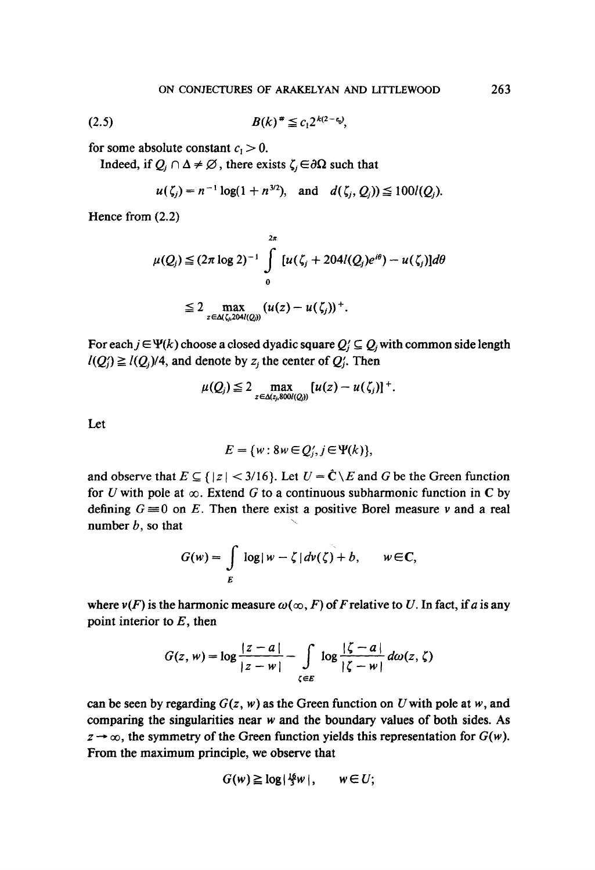$$
(2.5) \t B(k)^* \leq c_1 2^{k(2-\epsilon_0)},
$$

for some absolute constant  $c_1 > 0$ .

Indeed, if  $Q_i \cap \Delta \neq \emptyset$ , there exists  $\zeta_i \in \partial \Omega$  such that

$$
u(\zeta_i) = n^{-1} \log(1 + n^{3/2}),
$$
 and  $d(\zeta_i, Q_i) \le 100 l(Q_i).$ 

Hence from (2.2)

$$
\mu(Q_j) \leq (2\pi \log 2)^{-1} \int\limits_{0}^{2\pi} [u(\zeta_j + 204i(Q_j)e^{i\theta}) - u(\zeta_j)]d\theta
$$
  

$$
\leq 2 \max_{z \in \Delta(\zeta_j, 204i(Q_j))} (u(z) - u(\zeta_j))^+.
$$

For each  $j \in \Psi(k)$  choose a closed dyadic square  $Q'_i \subseteq Q_i$  with common side length  $I(Q_i') \geq I(Q_i)/4$ , and denote by  $z_i$ , the center of  $Q_i'$ . Then

$$
\mu(Q_j) \leq 2 \max_{z \in \Delta(z_j, 800l(Q_j))} [u(z) - u(\zeta_j)]^+.
$$

Let

$$
E = \{w : 8w \in Q_i, j \in \Psi(k)\},\
$$

and observe that  $E \subseteq \{|z| < 3/16\}$ . Let  $U = \hat{C} \setminus E$  and G be the Green function for U with pole at  $\infty$ . Extend G to a continuous subharmonic function in C by defining  $G \equiv 0$  on E. Then there exist a positive Borel measure v and a real number  $b$ , so that

$$
G(w) = \int\limits_E \log|w - \zeta| d\nu(\zeta) + b, \qquad w \in \mathbb{C},
$$

where  $v(F)$  is the harmonic measure  $\omega(\infty, F)$  of F relative to U. In fact, if a is any point interior to  $E$ , then

$$
G(z, w) = \log \frac{|z - a|}{|z - w|} - \int\limits_{\zeta \in E} \log \frac{|\zeta - a|}{|\zeta - w|} d\omega(z, \zeta)
$$

can be seen by regarding  $G(z, w)$  as the Green function on U with pole at w, and comparing the singularities near  $w$  and the boundary values of both sides. As  $z \rightarrow \infty$ , the symmetry of the Green function yields this representation for  $G(w)$ . From the maximum principle, we observe that

$$
G(w) \geq \log |\frac{16}{3}w|, \qquad w \in U;
$$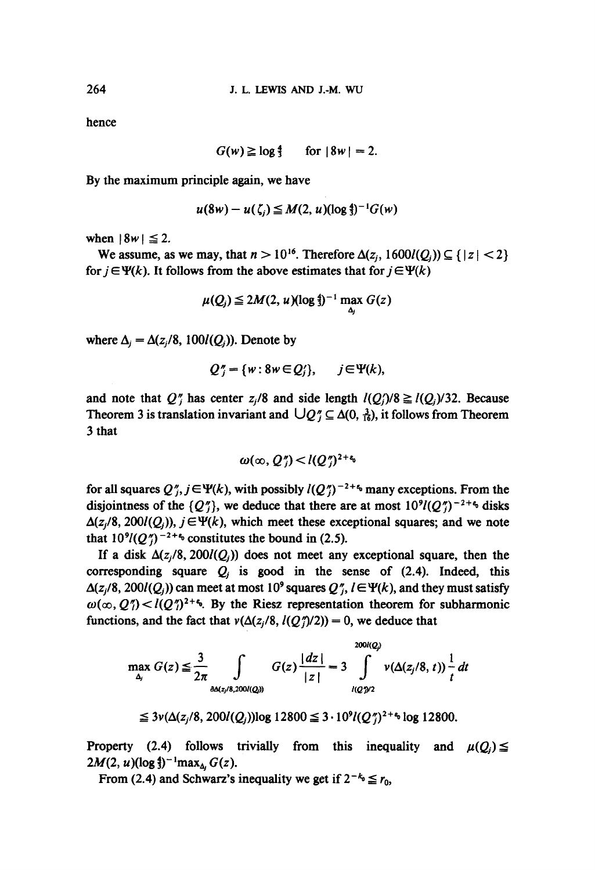hence

$$
G(w) \geq \log \frac{4}{3} \quad \text{for } |8w| = 2.
$$

By the maximum principle again, we have

$$
u(8w) - u(\zeta_i) \leq M(2, u)(\log \frac{4}{3})^{-1}G(w)
$$

when  $|8w| \leq 2$ .

We assume, as we may, that  $n > 10^{16}$ . Therefore  $\Delta(z_i, 1600l(Q_i)) \subseteq \{|z| < 2\}$ for  $j \in \Psi(k)$ . It follows from the above estimates that for  $j \in \Psi(k)$ 

$$
\mu(Q_j) \leq 2M(2, u)(\log \frac{4}{3})^{-1} \max_{\Delta_j} G(z)
$$

where  $\Delta_i = \Delta(z_i/8, 100I(Q_i))$ . Denote by

$$
Q''_j = \{w : 8w \in Q'_j\}, \qquad j \in \Psi(k),
$$

and note that  $Q''_i$  has center  $z_i/8$  and side length  $l(Q_i)/8 \ge l(Q_i)/32$ . Because Theorem 3 is translation invariant and  $\bigcup Q_i^* \subseteq \Delta(0, \frac{3}{16})$ , it follows from Theorem **3** that

$$
\omega(\infty, Q_i^{\prime\prime}) < l(Q_i^{\prime\prime})^{2+\epsilon_0}
$$

for all squares  $Q''_i, j \in \Psi(k)$ , with possibly  $I(Q'')^{-2+\epsilon}$  many exceptions. From the disjointness of the  $\{Q''_i\}$ , we deduce that there are at most  $10^9 (Q'')^{-2+\epsilon_0}$  disks  $\Delta(z_i/8, 200I(Q_i))$ ,  $j \in \Psi(k)$ , which meet these exceptional squares; and we note that  $10^9/(Q\%)^{-2+2}$  constitutes the bound in (2.5).

If a disk  $\Delta(z_i/8, 200/(\mathcal{Q}_i))$  does not meet any exceptional square, then the corresponding square  $Q_i$  is good in the sense of (2.4). Indeed, this  $\Delta(z_i/8, 200I(Q_i))$  can meet at most 10<sup>9</sup> squares  $Q''_i$ ,  $l \in \Psi(k)$ , and they must satisfy  $\omega(\infty, Q_1^r) < l(Q_1^r)^{2+\epsilon}$ . By the Riesz representation theorem for subharmonic functions, and the fact that  $v(\Delta(z_i/8, l(Q_i)/2)) = 0$ , we deduce that

$$
\max_{\Delta_j} G(z) \leq \frac{3}{2\pi} \int_{\partial \Delta(z_j/8, 200/(\mathcal{Q}))} G(z) \frac{|dz|}{|z|} = 3 \int_{l(\mathcal{Q})/2}^{200/(\mathcal{Q})} \nu(\Delta(z_j/8, t)) \frac{1}{t} dt
$$

 $\leq 3v(\Delta(z_i/8, 200l(Q_i))\log 12800 \leq 3.10^9l(Q_i^{\prime})^{2+\epsilon_0}\log 12800.$ 

Property (2.4) follows trivially from this inequality and  $2M(2, u)(\log \frac{4}{3})^{-1}$ max<sub> $\Delta_i$ </sub>  $G(z)$ .

From (2.4) and Schwarz's inequality we get if  $2^{-k_0} \le r_0$ ,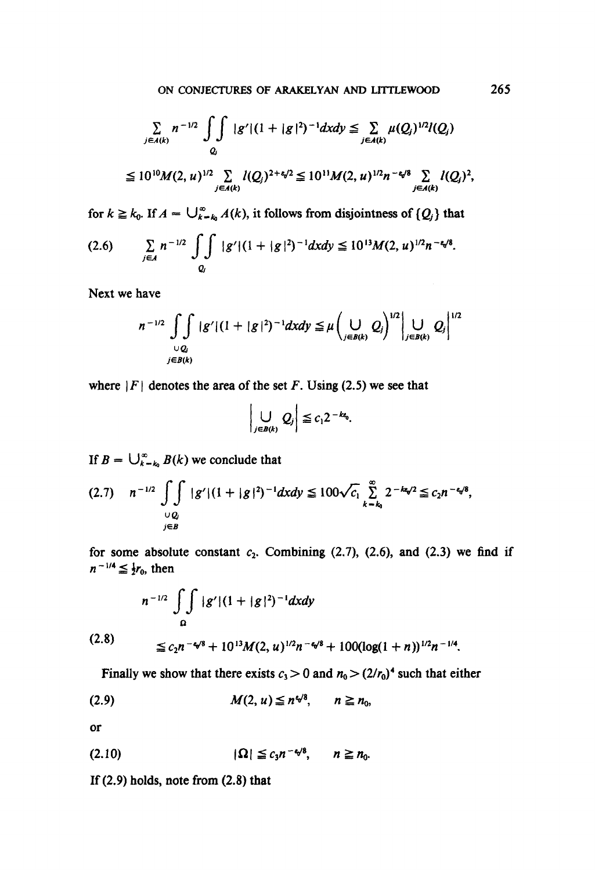$$
\sum_{j\in A(k)} n^{-1/2} \iint_{Q_j} |g'| (1+|g|^2)^{-1} dx dy \leq \sum_{j\in A(k)} \mu(Q_j)^{1/2} l(Q_j)
$$
  
\n
$$
\leq 10^{10} M(2, u)^{1/2} \sum_{j\in A(k)} l(Q_j)^{2+\epsilon/2} \leq 10^{11} M(2, u)^{1/2} n^{-\epsilon/8} \sum_{j\in A(k)} l(Q_j)^2,
$$

for  $k \ge k_0$ . If  $A = \bigcup_{k=k_0}^{\infty} A(k)$ , it follows from disjointness of  ${Q_i}$  that

$$
(2.6) \qquad \sum_{j\in A} n^{-1/2} \iint_{Q_j} |g'| (1+|g|^2)^{-1} dx dy \leq 10^{13} M(2, u)^{1/2} n^{-\epsilon \sqrt{8}}.
$$

Next we have

$$
n^{-1/2} \int_{\bigcup_{j \in B(k)}} \int_{\mathcal{B}} |g'| (1 + |g|^2)^{-1} dx dy \leq \mu \left( \bigcup_{j \in B(k)} Q_j \right)^{1/2} \left| \bigcup_{j \in B(k)} Q_j \right|^{1/2}
$$

where  $|F|$  denotes the area of the set F. Using (2.5) we see that

$$
\left|\bigcup_{j\in B(k)} Q_j\right| \leq c_1 2^{-k\alpha_0}.
$$

If  $B = \bigcup_{k=k_0}^{\infty} B(k)$  we conclude that

$$
(2.7) \quad n^{-1/2} \iint\limits_{\substack{Q\\y\in B}} |g'| (1+|g|^2)^{-1} dx dy \leq 100 \sqrt{c_1} \sum_{k=k_0}^{\infty} 2^{-k\alpha/2} \leq c_2 n^{-\alpha/8},
$$

for some absolute constant  $c_1$  $n^{-1/4} \leq \frac{1}{2}r_0$ , then Combining  $(2.7)$ ,  $(2.6)$ , and  $(2.3)$  we find if

$$
n^{-1/2} \int_{\Omega} \int |g'| (1+|g|^2)^{-1} dx dy
$$
  
(2.8)  

$$
\leq c_2 n^{-\sqrt{8}} + 10^{13} M(2, u)^{1/2} n^{-\sqrt{8}} + 100 (\log(1+n))^{1/2} n^{-1/4}.
$$

Finally we show that there exists  $c_3 > 0$  and  $n_0 > (2/r_0)^4$  such that either

$$
(2.9) \t\t\t M(2, u) \leq n^{4/8}, \t n \geq n_0,
$$

or

$$
(2.10) \t\t\t |\Omega| \leq c_3 n^{-\epsilon \sqrt{8}}, \t n \geq n_0.
$$

If (2.9) holds, note from (2.8) that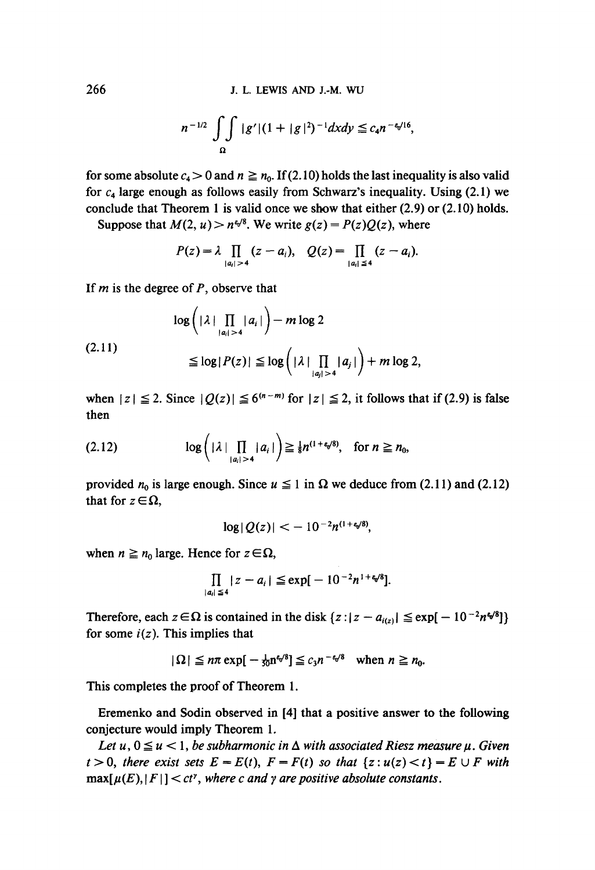$$
n^{-1/2} \int_{\Omega} \int |g'| (1 + |g|^2)^{-1} dx dy \leq c_4 n^{-\epsilon_0/16},
$$

for some absolute  $c_4 > 0$  and  $n \ge n_0$ . If (2.10) holds the last inequality is also valid for  $c_4$  large enough as follows easily from Schwarz's inequality. Using (2.1) we conclude that Theorem 1 is valid once we show that either (2.9) or (2.10) holds.

Suppose that  $M(2, u) > n^{e/8}$ . We write  $g(z) = P(z)Q(z)$ , where

$$
P(z) = \lambda \prod_{|a_i|>4} (z-a_i), \quad Q(z) = \prod_{|a_i| \le 4} (z-a_i).
$$

If  $m$  is the degree of  $P$ , observe that

$$
\log\left(|\lambda| \prod_{|a_i|>4} |a_i|\right) - m \log 2
$$
  
(2.11)  

$$
\leq \log |P(z)| \leq \log\left(|\lambda| \prod_{|a_j|>4} |a_j|\right) + m \log 2,
$$

when  $|z| \le 2$ . Since  $|Q(z)| \le 6^{(n-m)}$  for  $|z| \le 2$ , it follows that if (2.9) is false then

$$
(2.12) \qquad \log\bigg(|\lambda|\prod_{|a_i|>4}|a_i|\bigg) \geq \tfrac{1}{8}n^{(1+\varepsilon_0/8)}, \quad \text{for } n\geq n_0,
$$

provided  $n_0$  is large enough. Since  $u \le 1$  in  $\Omega$  we deduce from (2.11) and (2.12) that for  $z \in \Omega$ ,

$$
\log|Q(z)| < -10^{-2}n^{(1+\epsilon_0/8)},
$$

when  $n \ge n_0$  large. Hence for  $z \in \Omega$ ,

$$
\prod_{|a_i| \leq 4} |z - a_i| \leq \exp[-10^{-2}n^{1+\epsilon \sqrt{8}}].
$$

Therefore, each  $z \in \Omega$  is contained in the disk  $\{z : |z - a_{i(z)}| \leq \exp[-10^{-2}n\omega^8]\}$ for some  $i(z)$ . This implies that

$$
|\Omega| \leq n\pi \exp[-\tfrac{1}{50}n^{\epsilon/8}] \leq c_3 n^{-\epsilon/8} \quad \text{when } n \geq n_0.
$$

This completes the proof of Theorem 1.

Eremenko and Sodin observed in [4] that a positive answer to the following conjecture would imply Theorem 1.

*Let u,*  $0 \le u < 1$ *, be subharmonic in*  $\Delta$  *with associated Riesz measure*  $\mu$ *. Given*  $t > 0$ , there exist sets  $E = E(t)$ ,  $F = F(t)$  so that  $\{z : u(z) < t\} = E \cup F$  with  $\max[\mu(E), |F|] < ct^{\gamma}$ , where c and  $\gamma$  are positive absolute constants.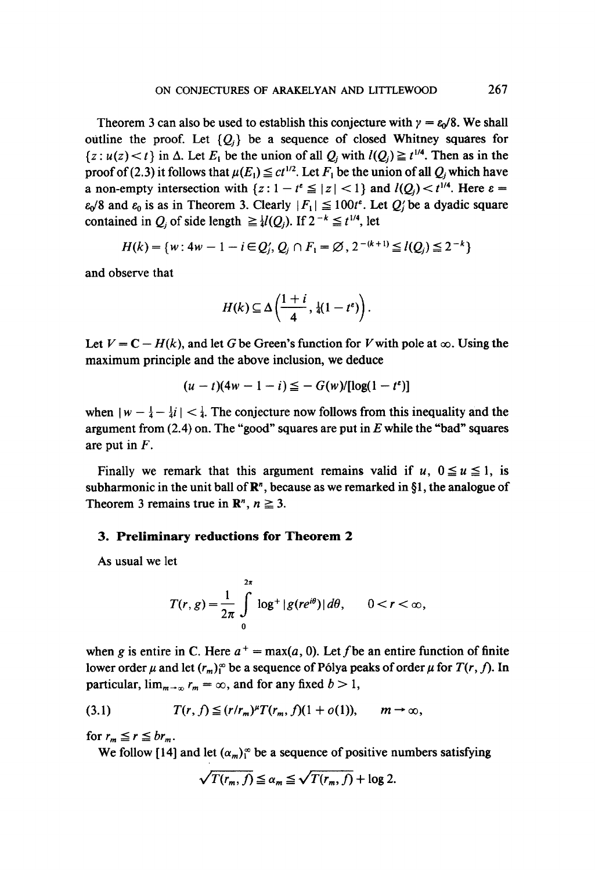Theorem 3 can also be used to establish this conjecture with  $\gamma = \varepsilon_0/8$ . We shall outline the proof. Let  ${Q_i}$  be a sequence of closed Whitney squares for  ${z : u(z) < t}$  in  $\Delta$ . Let  $E_i$  be the union of all  $Q_i$  with  $l(Q_i) \geq t^{1/4}$ . Then as in the proof of (2.3) it follows that  $\mu(E_1) \leq ct^{1/2}$ . Let  $F_1$  be the union of all  $Q_i$  which have a non-empty intersection with  $\{z: 1 - t^e \leq |z| < 1\}$  and  $I(Q_i) < t^{1/4}$ . Here  $\varepsilon =$  $\varepsilon_0/8$  and  $\varepsilon_0$  is as in Theorem 3. Clearly  $|F_1| \le 100t^{\epsilon}$ . Let  $Q_i$  be a dyadic square contained in  $Q_i$  of side length  $\geq \frac{1}{4}l(Q_i)$ . If  $2^{-k} \leq t^{1/4}$ , let

$$
H(k) = \{w : 4w - 1 - i \in Q'_i, Q_i \cap F_1 = \emptyset, 2^{-(k+1)} \leq l(Q_i) \leq 2^{-k}\}
$$

and observe that

$$
H(k) \subseteq \Delta\left(\frac{1+i}{4}, \frac{1}{4}(1-t^e)\right).
$$

Let  $V = C - H(k)$ , and let G be Green's function for V with pole at  $\infty$ . Using the maximum principle and the above inclusion, we deduce

$$
(u-t)(4w-1-i) \leq -G(w)/[\log(1-t^e)]
$$

when  $|w - \frac{1}{4} - \frac{1}{4}i| < \frac{1}{4}$ . The conjecture now follows from this inequality and the argument from  $(2.4)$  on. The "good" squares are put in E while the "bad" squares are put in F.

Finally we remark that this argument remains valid if  $u, 0 \le u \le 1$ , is subharmonic in the unit ball of  $\mathbb{R}^n$ , because as we remarked in §1, the analogue of Theorem 3 remains true in  $\mathbb{R}^n$ ,  $n \geq 3$ .

#### **3. Preliminary reductions for Theorem 2**

As usual we let

$$
T(r,g)=\frac{1}{2\pi}\int\limits_{0}^{2\pi}\log^{+}|g(re^{i\theta})|\,d\theta,\qquad 0
$$

when g is entire in C. Here  $a^+ = \max(a, 0)$ . Let f be an entire function of finite lower order  $\mu$  and let  $(r_m)$ <sup>o</sup> be a sequence of Pólya peaks of order  $\mu$  for  $T(r, f)$ . In particular,  $\lim_{m\to\infty} r_m = \infty$ , and for any fixed  $b > 1$ ,

$$
(3.1) \tT(r, f) \leq (r/r_m)^{\mu} T(r_m, f)(1 + o(1)), \t m \rightarrow \infty,
$$

for  $r_m \leq r \leq br_m$ .

We follow [14] and let  $(\alpha_m)^\infty$  be a sequence of positive numbers satisfying

$$
\sqrt{T(r_m, f)} \leq \alpha_m \leq \sqrt{T(r_m, f)} + \log 2.
$$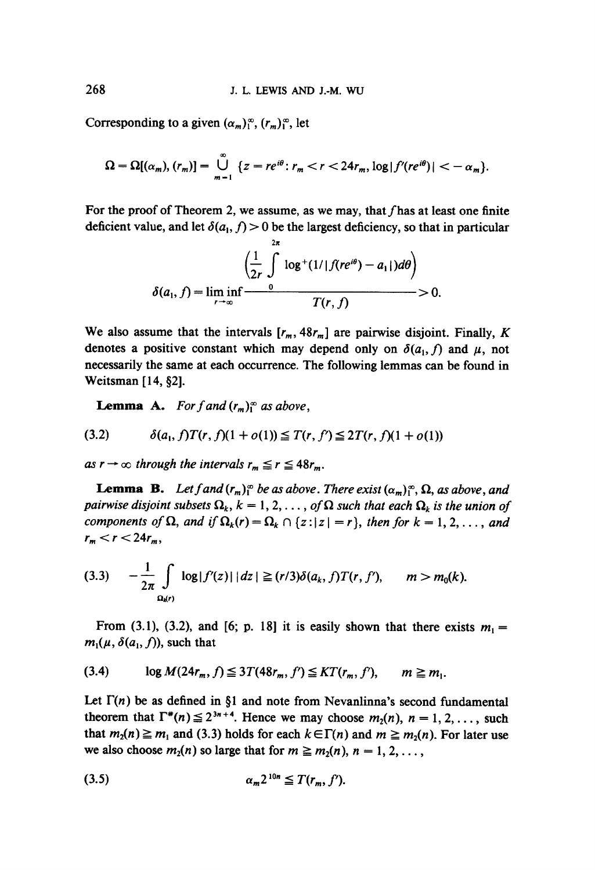Corresponding to a given  $(\alpha_m)_{1}^{\infty}$ ,  $(r_m)_{1}^{\infty}$ , let

$$
\Omega = \Omega[(\alpha_m), (r_m)] = \bigcup_{m=1}^{\infty} \{z = re^{i\theta} : r_m < r < 24r_m, \log|f'(re^{i\theta})| < -\alpha_m\}.
$$

For the proof of Theorem 2, we assume, as we may, that  $f$  has at least one finite deficient value, and let  $\delta(a_1, f) > 0$  be the largest deficiency, so that in particular

$$
\delta(a_1, f) = \liminf_{r \to \infty} \frac{\left(\frac{1}{2r} \int_{0}^{2\pi} \log^+(1/|f(re^{i\theta}) - a_1|) d\theta\right)}{T(r, f)} > 0.
$$

We also assume that the intervals  $[r_m, 48r_m]$  are pairwise disjoint. Finally, K denotes a positive constant which may depend only on  $\delta(a_1, f)$  and  $\mu$ , not necessarily the same at each occurrence. The following lemmas can be found in Weitsman  $[14, §2]$ .

**Lemma A.** *For f and*  $(r_m)$ <sup> $\infty$ </sup> *as above*,

$$
(3.2) \qquad \delta(a_1, f)T(r, f)(1 + o(1)) \leq T(r, f') \leq 2T(r, f)(1 + o(1))
$$

as  $r \to \infty$  through the intervals  $r_m \le r \le 48r_m$ .

**Lemma B.** Let f and  $(r_m)_{1}^{\infty}$  be as above. There exist  $(\alpha_m)_{1}^{\infty}$ ,  $\Omega$ , as above, and *pairwise disjoint subsets*  $\Omega_k$ ,  $k = 1, 2, \ldots$ , of  $\Omega$  such that each  $\Omega_k$  is the union of *components of*  $\Omega$ , and if  $\Omega_k(r) = \Omega_k \cap \{z : |z| = r\}$ , then for  $k = 1, 2, \ldots$ , and  $r_m < r < 24r_m$ ,

$$
(3.3) \t -\frac{1}{2\pi} \int_{\Omega_{\mathsf{M}}(r)} \log |f'(z)| \, |dz| \geq (r/3) \delta(a_k, f) T(r, f'), \t m > m_0(k).
$$

From (3.1), (3.2), and [6; p. 18] it is easily shown that there exists  $m_1 =$  $m_1(\mu, \delta(a_1, f))$ , such that

$$
(3.4) \qquad \log M(24r_m, f) \leq 3T(48r_m, f') \leq KT(r_m, f'), \qquad m \geq m_1.
$$

Let  $\Gamma(n)$  be as defined in §1 and note from Nevanlinna's second fundamental theorem that  $\Gamma^*(n) \leq 2^{3n+4}$ . Hence we may choose  $m_2(n)$ ,  $n = 1, 2, \ldots$ , such that  $m_2(n) \geq m_1$  and (3.3) holds for each  $k \in \Gamma(n)$  and  $m \geq m_2(n)$ . For later use we also choose  $m_2(n)$  so large that for  $m \ge m_2(n)$ ,  $n = 1, 2, \ldots$ ,

$$
\alpha_m 2^{10n} \leq T(r_m, f').
$$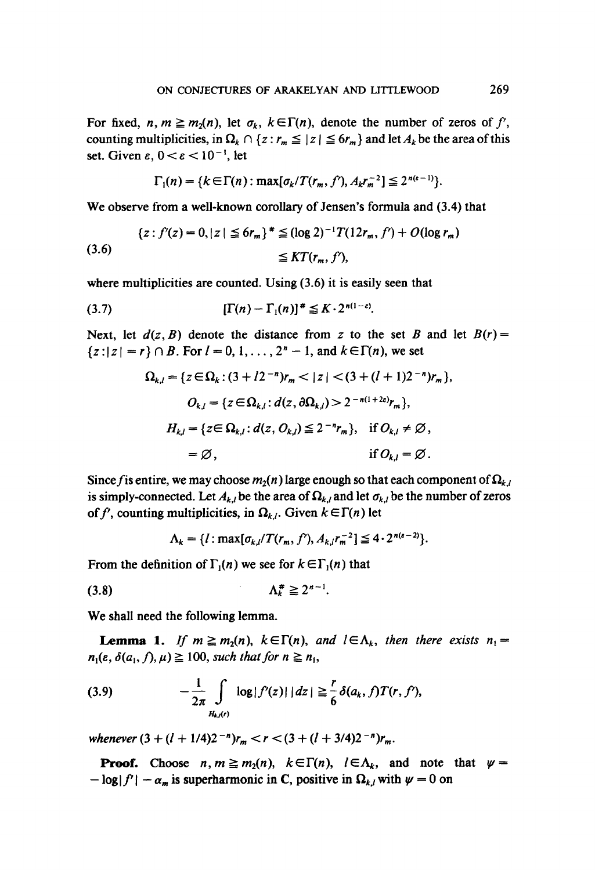For fixed,  $n, m \geq m_2(n)$ , let  $\sigma_k$ ,  $k \in \Gamma(n)$ , denote the number of zeros of f', counting multiplicities, in  $\Omega_k \cap \{z : r_m \leq |z| \leq 6r_m \}$  and let  $A_k$  be the area of this set. Given  $\varepsilon$ ,  $0 < \varepsilon < 10^{-1}$ , let

$$
\Gamma_1(n) = \{k \in \Gamma(n) : \max[\sigma_k/T(r_m, f'), A_k r_m^{-2}] \leq 2^{n(\epsilon-1)}\}.
$$

We observe from a well-known corollary of Jensen's formula and (3.4) that

$$
\{z : f'(z) = 0, |z| \le 6r_m\}^* \le (\log 2)^{-1}T(12r_m, f') + O(\log r_m)
$$
  
(3.6) 
$$
\le KT(r_m, f'),
$$

where multiplicities are counted. Using  $(3.6)$  it is easily seen that

$$
(3.7) \qquad [\Gamma(n)-\Gamma_1(n)]^* \leq K \cdot 2^{n(1-\varepsilon)}.
$$

Next, let  $d(z, B)$  denote the distance from z to the set B and let  $B(r)$  =  ${z: |z| = r} \cap B$ . For  $l = 0, 1, ..., 2<sup>n</sup> - 1$ , and  $k \in \Gamma(n)$ , we set

$$
\Omega_{k,l} = \{ z \in \Omega_k : (3 + l2^{-n})r_m < |z| < (3 + (l+1)2^{-n})r_m \},
$$
  

$$
O_{k,l} = \{ z \in \Omega_{k,l} : d(z, \partial \Omega_{k,l}) > 2^{-n(1+2\epsilon)}r_m \},
$$
  

$$
H_{k,l} = \{ z \in \Omega_{k,l} : d(z, O_{k,l}) \le 2^{-n}r_m \}, \text{ if } O_{k,l} \ne \emptyset,
$$
  

$$
= \emptyset, \text{ if } O_{k,l} = \emptyset.
$$

Since f is entire, we may choose  $m_2(n)$  large enough so that each component of  $\Omega_{k,l}$ is simply-connected. Let  $A_{k,l}$  be the area of  $\Omega_{k,l}$  and let  $\sigma_{k,l}$  be the number of zeros of f', counting multiplicities, in  $\Omega_{k,t}$ . Given  $k \in \Gamma(n)$  let

$$
\Lambda_k = \{l : \max[\sigma_{k,l}/T(r_m, f'), A_{k,l}r_m^{-2}] \leq 4 \cdot 2^{n(\epsilon-2)}\}.
$$

From the definition of  $\Gamma_1(n)$  we see for  $k \in \Gamma_1(n)$  that

$$
\Lambda_k^{\#} \geq 2^{n-1}.
$$

We shall need the following lemma.

**Lemma 1.** *If*  $m \ge m_2(n)$ ,  $k \in \Gamma(n)$ , and  $l \in \Lambda_k$ , then there exists  $n_1 =$  $n_1(\varepsilon, \delta(a_1, f), \mu) \ge 100$ , *such that for*  $n \ge n_1$ ,

(3.9) 
$$
-\frac{1}{2\pi} \int_{H_{k}(r)} \log |f'(z)| |dz| \geq \frac{r}{6} \delta(a_k, f) T(r, f'),
$$

*whenever*  $(3 + (l + 1/4)2^{-n})r_m < r < (3 + (l + 3/4)2^{-n})r_m$ .

**Proof.** Choose  $n, m \geq m_2(n)$ ,  $k \in \Gamma(n)$ ,  $l \in \Lambda_k$ , and note that  $\psi =$  $-\log|f'| - \alpha_m$  is superharmonic in C, positive in  $\Omega_{k,l}$  with  $\psi = 0$  on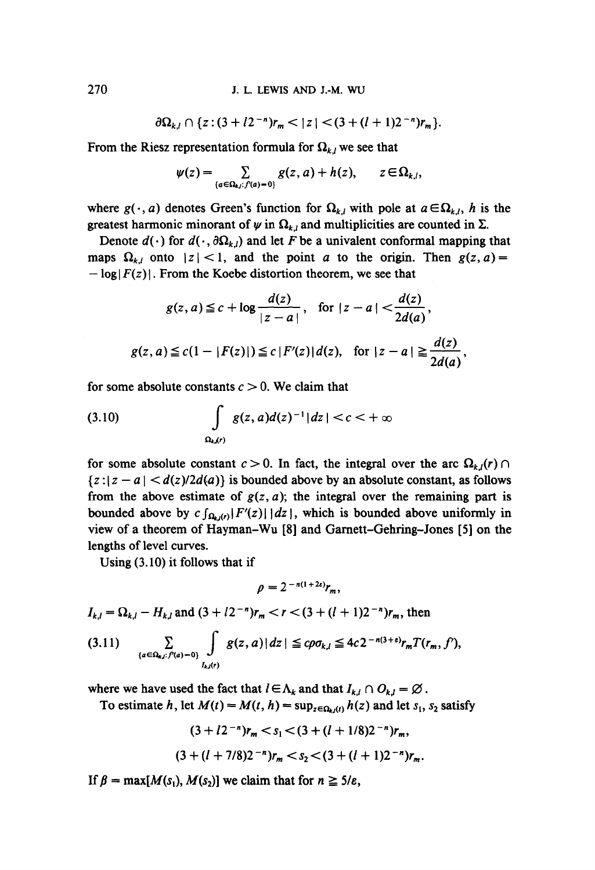270 J. L. LEWIS AND J.-M. WU

$$
\partial\Omega_{k,l}\cap\{z:(3+l2^{-n})r_m<|z|<(3+(l+1)2^{-n})r_m\}.
$$

From the Riesz representation formula for  $\Omega_{k,l}$  we see that

$$
\psi(z) = \sum_{\{a \in \Omega_{k,l}: f'(a) = 0\}} g(z, a) + h(z), \qquad z \in \Omega_{k,l},
$$

where  $g(\cdot, a)$  denotes Green's function for  $\Omega_{k,l}$  with pole at  $a \in \Omega_{k,l}$ , h is the greatest harmonic minorant of  $\psi$  in  $\Omega_{k,l}$  and multiplicities are counted in  $\Sigma$ .

Denote  $d(\cdot)$  for  $d(\cdot, \partial \Omega_{k,l})$  and let F be a univalent conformal mapping that maps  $\Omega_{k,l}$  onto  $|z| < 1$ , and the point a to the origin. Then  $g(z, a) =$  $-\log|F(z)|$ . From the Koebe distortion theorem, we see that

$$
g(z, a) \leq c + \log \frac{d(z)}{|z - a|}, \quad \text{for } |z - a| < \frac{d(z)}{2d(a)},
$$
\n
$$
g(z, a) \leq c(1 - |F(z)|) \leq c |F'(z)| d(z), \quad \text{for } |z - a| \geq \frac{d(z)}{2d(a)},
$$

for some absolute constants  $c > 0$ . We claim that

(3.10) 
$$
\int_{\Omega_{k}(r)} g(z, a)d(z)^{-1}|dz| < c < +\infty
$$

for some absolute constant  $c > 0$ . In fact, the integral over the arc  $\Omega_{k,l}(r) \cap$  ${z : |z - a| < d(z)/2d(a)}$  is bounded above by an absolute constant, as follows from the above estimate of  $g(z, a)$ ; the integral over the remaining part is bounded above by  $c \int_{\Omega_{\epsilon}(t)} |F'(z)| dx$ , which is bounded above uniformly in view of a theorem of Hayman-Wu [8] and Garnett-Gehring-Jones [5] on the lengths of level curves.

Using (3.10) it follows that if

$$
\rho=2^{-n(1+2\varepsilon)}r_m,
$$

$$
I_{k,l} = \Omega_{k,l} - H_{k,l}
$$
 and  $(3 + l2^{-n})r_m < r < (3 + (l+1)2^{-n})r_m$ , then

$$
(3.11) \qquad \sum_{\{a \in \Omega_{k,l}: f'(a)=0\}} \int_{I_{k,l}(r)} g(z,a) |dz| \leq c \rho \sigma_{k,l} \leq 4c 2^{-n(3+\epsilon)} r_m T(r_m, f'),
$$

where we have used the fact that  $l \in \Lambda_k$  and that  $I_{k,i} \cap O_{k,i} = \emptyset$ .

To estimate h, let  $M(t) = M(t, h) = \sup_{z \in \Omega_h(t)} h(z)$  and let  $s_1, s_2$  satisfy

$$
(3 + l2^{-n})r_m < s_1 < (3 + (l + 1/8)2^{-n})r_m,
$$
  

$$
(3 + (l + 7/8)2^{-n})r_m < s_2 < (3 + (l + 1)2^{-n})r_m.
$$

If  $\beta = \max[M(s_1), M(s_2)]$  we claim that for  $n \ge 5/\varepsilon$ ,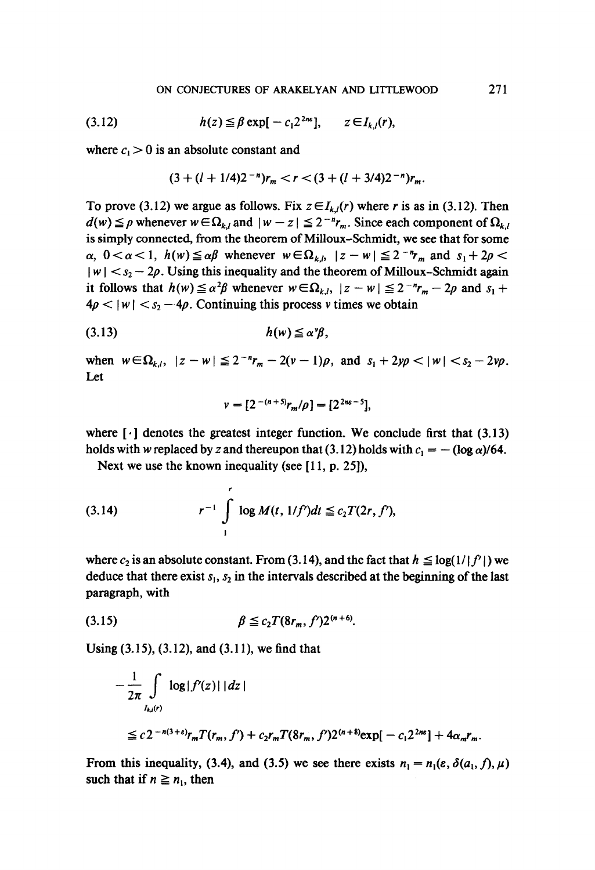(3.12) 
$$
h(z) \leq \beta \exp[-c_1 2^{2n} \epsilon], \quad z \in I_{k,l}(r),
$$

where  $c_1 > 0$  is an absolute constant and

$$
(3+(l+1/4)2^{-n})r_m < r < (3+(l+3/4)2^{-n})r_m.
$$

To prove (3.12) we argue as follows. Fix  $z \in I_{k,l}(r)$  where r is as in (3.12). Then  $d(w) \leq \rho$  whenever  $w \in \Omega_{k,l}$  and  $|w - z| \leq 2^{-n} r_m$ . Since each component of  $\Omega_{k,l}$ is simply connected, from the theorem of Milloux-Schmidt, we see that for some  $\alpha$ ,  $0 < \alpha < 1$ ,  $h(w) \leq \alpha \beta$  whenever  $w \in \Omega_{k,b}$   $|z-w| \leq 2^{-n}r_m$  and  $s_1 + 2\rho <$  $|w| < s_2 - 2\rho$ . Using this inequality and the theorem of Milloux-Schmidt again it follows that  $h(w) \le \alpha^2 \beta$  whenever  $w \in \Omega_{k,l}$ ,  $|z - w| \le 2^{-n} r_m - 2\rho$  and  $s_1 +$  $4p < |w| < s<sub>2</sub> - 4p$ . Continuing this process v times we obtain

$$
(3.13) \t\t\t h(w) \leq \alpha \gamma,
$$

when  $w \in \Omega_{k,l}$ ,  $|z - w| \leq 2^{-n}r_m - 2(v-1)\rho$ , and  $s_1 + 2y\rho < |w| < s_2 - 2v\rho$ . Let

$$
v=[2^{-(n+5)}r_m/\rho]=[2^{2n\varepsilon-5}],
$$

where  $\lceil \cdot \rceil$  denotes the greatest integer function. We conclude first that (3.13) holds with w replaced by z and thereupon that (3.12) holds with  $c_1 = -(\log \alpha)/64$ .

Next we use the known inequality (see [11, p. 25]),

(3.14) 
$$
r^{-1} \int_{1}^{r} \log M(t, 1/f')dt \leq c_2 T(2r, f'),
$$

where  $c_2$  is an absolute constant. From (3.14), and the fact that  $h \leq \log(1/|f'|)$  we deduce that there exist  $s_1$ ,  $s_2$  in the intervals described at the beginning of the last paragraph, with

(3.15) 
$$
\beta \leq c_2 T(8r_m, f') 2^{(n+6)}.
$$

Using (3.15), (3.12), and (3.11), we find that

$$
-\frac{1}{2\pi} \int_{I_{k,l}(r)} \log|f'(z)| \, |dz|
$$
  
\n
$$
\leq c 2^{-n(3+\epsilon)} r_m T(r_m, f') + c_2 r_m T(8r_m, f') 2^{(n+8)} \exp[-c_1 2^{2n\epsilon}] + 4\alpha_m r_m.
$$

From this inequality, (3.4), and (3.5) we see there exists  $n_1 = n_1(\varepsilon, \delta(a_1, f), \mu)$ such that if  $n \geq n_1$ , then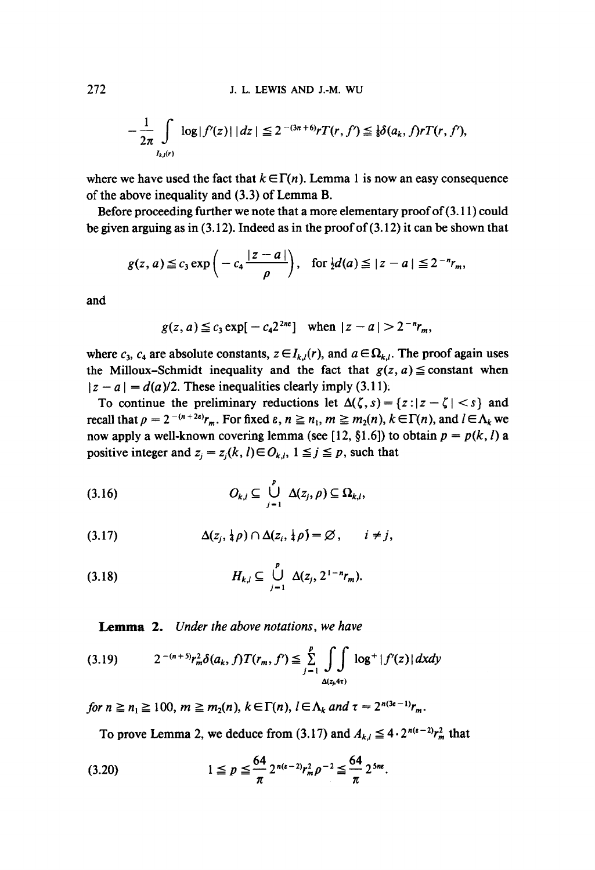272 J. L. LEWIS AND J.-M. WIJ

$$
-\frac{1}{2\pi}\int_{I_{k,l}(r)}\log|f'(z)|\, |dz| \leq 2^{-(3n+6)}rT(r, f') \leq \frac{1}{8}\delta(a_k, f)rT(r, f'),
$$

where we have used the fact that  $k \in \Gamma(n)$ . Lemma 1 is now an easy consequence of the above inequality and (3.3) of Lemma B.

Before proceeding further we note that a more elementary proof of(3.11) could be given arguing as in (3.12). Indeed as in the proof of (3.12) it can be shown that

$$
g(z, a) \leqq c_3 \exp\left(-c_4 \frac{|z-a|}{\rho}\right), \text{ for } \frac{1}{2}d(a) \leqq |z-a| \leqq 2^{-n}r_m,
$$

and

$$
g(z, a) \leq c_3 \exp[-c_4 2^{2n\epsilon}]
$$
 when  $|z - a| > 2^{-n}r_m$ ,

where  $c_3$ ,  $c_4$  are absolute constants,  $z \in I_{k,l}(r)$ , and  $a \in \Omega_{k,l}$ . The proof again uses the Milloux-Schmidt inequality and the fact that  $g(z, a) \leq$  constant when  $|z - a| = d(a)/2$ . These inequalities clearly imply (3.11).

To continue the preliminary reductions let  $\Delta(\zeta, s) = \{z : |z-\zeta| < s\}$  and recall that  $p = 2^{-(n+2\varepsilon)}r_m$ . For fixed  $\varepsilon$ ,  $n \ge n_1$ ,  $m \ge m_2(n)$ ,  $k \in \Gamma(n)$ , and  $l \in \Lambda_k$  we now apply a well-known covering lemma (see [12, §1.6]) to obtain  $p = p(k, l)$  a positive integer and  $z_i = z_i(k, l) \in O_{k,l}$ ,  $1 \leq j \leq p$ , such that

P (3.16) *Ok,t* \_C U A(zj, *p) C\_ f~k,t,*  j--I

(3.17) 
$$
\Delta(z_j, \frac{1}{4}\rho) \cap \Delta(z_i, \frac{1}{4}\rho) = \varnothing, \qquad i \neq j,
$$

$$
(3.18) \t\t H_{k,l} \subseteq \bigcup_{j=1}^p \Delta(z_j, 2^{1-n}r_m).
$$

Lemma 2. *Under the above notations, we have* 

$$
(3.19) \t2^{-(n+5)}r_m^2 \delta(a_k, f)T(r_m, f') \leq \sum_{j=1}^p \int_{\Delta(z_j, 4\tau)} \log^+ |f'(z)| \, dxdy
$$

*for*  $n \geq n_1 \geq 100$ ,  $m \geq m_2(n)$ ,  $k \in \Gamma(n)$ ,  $l \in \Lambda_k$  and  $\tau = 2^{n(3e-1)}r_m$ .

To prove Lemma 2, we deduce from (3.17) and  $A_{k,l} \leq 4 \cdot 2^{n(\varepsilon-2)} r_m^2$  that

$$
(3.20) \t1 \leq p \leq \frac{64}{\pi} 2^{n(\varepsilon-2)} r_m^2 \rho^{-2} \leq \frac{64}{\pi} 2^{5n\varepsilon}.
$$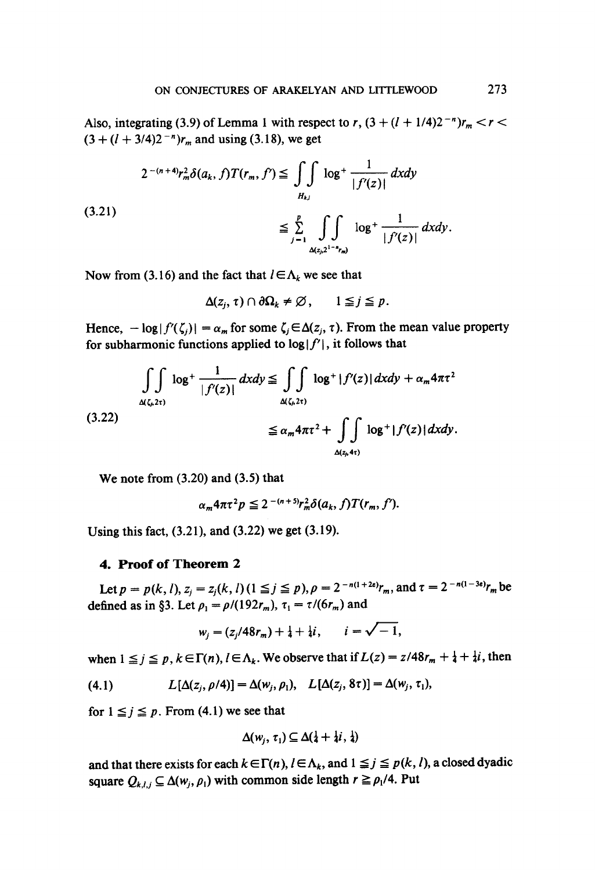Also, integrating (3.9) of Lemma 1 with respect to r,  $(3 + (l + 1/4)2^{-n})r_m < r <$  $(3 + (l + 3/4)2^{-n})r_m$  and using (3.18), we get

$$
2^{-(n+4)}r_m^2 \delta(a_k, f)T(r_m, f') \leq \int\int\limits_{H_{k,l}} \log^+ \frac{1}{|f'(z)|} dx dy
$$
\n
$$
\leq \sum_{j=1}^p \int\limits_{\Delta(z_j, 2^{1-r}r_m)} \log^+ \frac{1}{|f'(z)|} dx dy.
$$
\n(3.21)

Now from (3.16) and the fact that  $l \in \Lambda_k$  we see that

 $\Delta(z_i, \tau) \cap \partial \Omega_k \neq \emptyset$ ,  $1 \leq j \leq p$ .

Hence,  $-\log|f'(\zeta_j)| = \alpha_m$  for some  $\zeta_j \in \Delta(z_j, \tau)$ . From the mean value property for subharmonic functions applied to  $log|f'|$ , it follows that

$$
\iint\limits_{\Delta(\zeta,2\tau)} \log^+ \frac{1}{|f'(z)|} dx dy \le \iint\limits_{\Delta(\zeta,2\tau)} \log^+ |f'(z)| dx dy + \alpha_m 4\pi \tau^2
$$
\n(3.22)\n
$$
\le \alpha_m 4\pi \tau^2 + \iint\limits_{\Delta(z,h+\tau)} \log^+ |f'(z)| dx dy.
$$

**We note from (3.20) and (3.5) that** 

$$
\alpha_m 4\pi \tau^2 p \leq 2^{-(n+5)} r_m^2 \delta(a_k, f) T(r_m, f').
$$

Using this fact, (3.21), and (3.22) we get (3.19).

## **4. Proof of Theorem 2**

Let  $p = p(k, l), z_i = z_i(k, l)$  ( $1 \leq j \leq p$ ),  $\rho = 2^{-n(1+2\varepsilon)} r_m$ , and  $\tau = 2^{-n(1-3\varepsilon)} r_m$  be defined as in §3. Let  $\rho_1 = \rho/(192r_m)$ ,  $\tau_1 = \tau/(6r_m)$  and

$$
w_j = (z_j/48r_m) + \frac{1}{4} + \frac{1}{4}i, \qquad i = \sqrt{-1},
$$

when  $1 \leq j \leq p$ ,  $k \in \Gamma(n)$ ,  $l \in \Lambda_k$ . We observe that if  $L(z) = z/48r_m + \frac{1}{4} + \frac{1}{4}i$ , then

(4.1) 
$$
L[\Delta(z_j, \rho/4)] = \Delta(w_j, \rho_1), \quad L[\Delta(z_j, 8\tau)] = \Delta(w_j, \tau_1),
$$

for  $1 \leq j \leq p$ . From (4.1) we see that

$$
\Delta(w_j,\,\tau_1)\subseteq\Delta(\tfrac{1}{4}+\tfrac{1}{4}i,\,\tfrac{1}{4})
$$

and that there exists for each  $k \in \Gamma(n)$ ,  $l \in \Lambda_k$ , and  $1 \leq j \leq p(k, l)$ , a closed dyadic square  $Q_{k,l,j} \subseteq \Delta(w_i, \rho_1)$  with common side length  $r \geq \rho_1/4$ . Put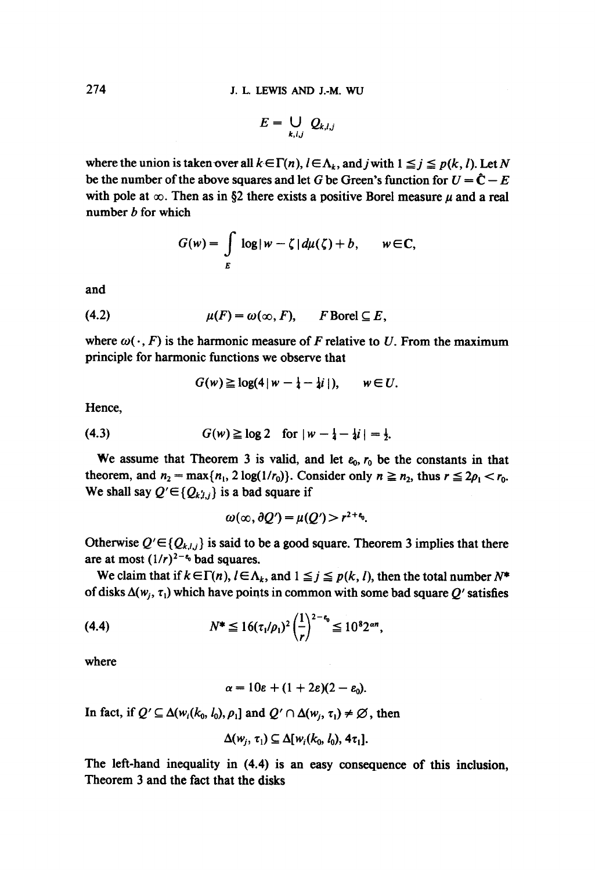$$
E=\bigcup_{k,l,j} Q_{k,l,j}
$$

where the union is taken over all  $k \in \Gamma(n)$ ,  $l \in \Lambda_k$ , and j with  $1 \leq j \leq p(k, l)$ . Let N be the number of the above squares and let G be Green's function for  $U = \hat{C} - E$ with pole at  $\infty$ . Then as in §2 there exists a positive Borel measure  $\mu$  and a real number  $b$  for which

$$
G(w) = \int\limits_E \log|w - \zeta| d\mu(\zeta) + b, \qquad w \in \mathbb{C},
$$

and

$$
(4.2) \t\t \mu(F) = \omega(\infty, F), \t\t F Borel \subseteq E,
$$

where  $\omega(\cdot, F)$  is the harmonic measure of F relative to U. From the maximum principle for harmonic functions we observe that

$$
G(w) \geq \log(4 |w - \frac{1}{4} - \frac{1}{4}i|), \qquad w \in U.
$$

Hence,

(4.3) 
$$
G(w) \ge \log 2 \quad \text{for } |w - \frac{1}{4} - \frac{1}{4}i| = \frac{1}{2}.
$$

We assume that Theorem 3 is valid, and let  $\varepsilon_0$ ,  $r_0$  be the constants in that theorem, and  $n_2 = \max\{n_1, 2 \log(1/r_0)\}\)$ . Consider only  $n \geq n_2$ , thus  $r \leq 2\rho_1 < r_0$ . We shall say  $Q' \in \{Q_{k,l,j}\}$  is a bad square if

$$
\omega(\infty,\partial Q')=\mu(Q')>r^{2+\epsilon_0}.
$$

Otherwise  $Q' \in \{Q_{k,l,j}\}\$ is said to be a good square. Theorem 3 implies that there are at most  $(1/r)^{2-\epsilon_0}$  bad squares.

We claim that if  $k \in \Gamma(n)$ ,  $l \in \Lambda_k$ , and  $1 \leq j \leq p(k, l)$ , then the total number  $N^*$ of disks  $\Delta(w_i, \tau_i)$  which have points in common with some bad square Q' satisfies

(4.4) 
$$
N^* \leq 16(\tau_1/\rho_1)^2 \left(\frac{1}{r}\right)^{2-\epsilon_0} \leq 10^8 2^{\alpha n},
$$

where

$$
\alpha=10\varepsilon+(1+2\varepsilon)(2-\varepsilon_0).
$$

In fact, if  $Q' \subseteq \Delta(w_i(k_0, l_0), \rho_1]$  and  $Q' \cap \Delta(w_i, \tau_1) \neq \emptyset$ , then

$$
\Delta(w_j, \tau_1) \subseteq \Delta[w_i(k_0, l_0), 4\tau_1].
$$

The left-hand inequality in (4.4) is an easy consequence of this inclusion, Theorem 3 and the fact that the disks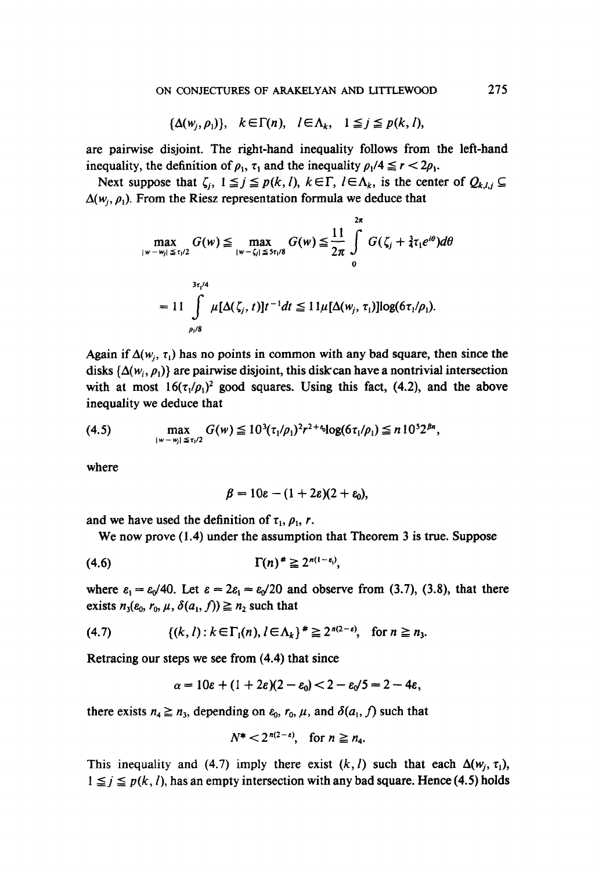$$
\{\Delta(w_j, \rho_1)\}, \quad k \in \Gamma(n), \quad l \in \Lambda_k, \quad 1 \leq j \leq p(k, l),
$$

are pairwise disjoint. The fight-hand inequality follows from the left-hand inequality, the definition of  $\rho_1$ ,  $\tau_1$  and the inequality  $\rho_1/4 \le r < 2\rho_1$ .

Next suppose that  $\zeta_i$ ,  $1 \leq j \leq p(k, l)$ ,  $k \in \Gamma$ ,  $l \in \Lambda_k$ , is the center of  $Q_{k,l,j} \subseteq$  $\Delta(w_i, \rho_1)$ . From the Riesz representation formula we deduce that

$$
\max_{|w-w_j| \le \tau_1/2} G(w) \le \max_{|w-\zeta_j| \le 5\tau_j/8} G(w) \le \frac{11}{2\pi} \int_{0}^{2\pi} G(\zeta_j + \frac{3}{4}\tau_1 e^{i\theta}) d\theta
$$
  
= 11 
$$
\int_{\rho_1/8}^{\frac{3\tau_1/4}{2}} \mu[\Delta(\zeta_j, t)] t^{-1} dt \le 11\mu[\Delta(w_j, \tau_1)] \log(6\tau_1/\rho_1).
$$

Again if  $\Delta(w_i, \tau_i)$  has no points in common with any bad square, then since the disks  $\{\Delta(w_i, \rho_i)\}\$  are pairwise disjoint, this disk can have a nontrivial intersection with at most  $16(\tau_1/\rho_1)^2$  good squares. Using this fact, (4.2), and the above inequality we deduce that

(4.5) 
$$
\max_{|w-w_j| \leq \tau_1/2} G(w) \leq 10^3 (\tau_1/\rho_1)^2 r^{2+\epsilon_0} \log(6\tau_1/\rho_1) \leq n 10^5 2^{\beta n},
$$

where

$$
\beta = 10\varepsilon - (1+2\varepsilon)(2+\varepsilon_0),
$$

and we have used the definition of  $\tau_1$ ,  $\rho_1$ , r.

We now prove (1.4) under the assumption that Theorem 3 is true. Suppose

$$
(4.6) \t\Gamma(n)^* \geq 2^{n(1-\epsilon_1)},
$$

where  $\varepsilon_1 = \varepsilon_0/40$ . Let  $\varepsilon = 2\varepsilon_1 = \varepsilon_0/20$  and observe from (3.7), (3.8), that there exists  $n_3(\varepsilon_0, r_0, \mu, \delta(a_1, f)) \geq n_2$  such that

$$
(4.7) \qquad \qquad \{(k,l):k\in\Gamma_1(n),l\in\Lambda_k\}^*\geq 2^{n(2-\epsilon)},\quad \text{for }n\geq n_3.
$$

Retracing our steps we see from (4.4) that since

$$
\alpha = 10\varepsilon + (1+2\varepsilon)(2-\varepsilon_0) < 2-\varepsilon_0/5 = 2-4\varepsilon,
$$

there exists  $n_4 \ge n_3$ , depending on  $\varepsilon_0$ ,  $r_0$ ,  $\mu$ , and  $\delta(a_1, f)$  such that

$$
N^*<2^{n(2-\varepsilon)},\quad \text{for }n\geq n_4.
$$

This inequality and (4.7) imply there exist  $(k, l)$  such that each  $\Delta(w_i, \tau_1)$ ,  $1 \leq j \leq p(k, l)$ , has an empty intersection with any bad square. Hence (4.5) holds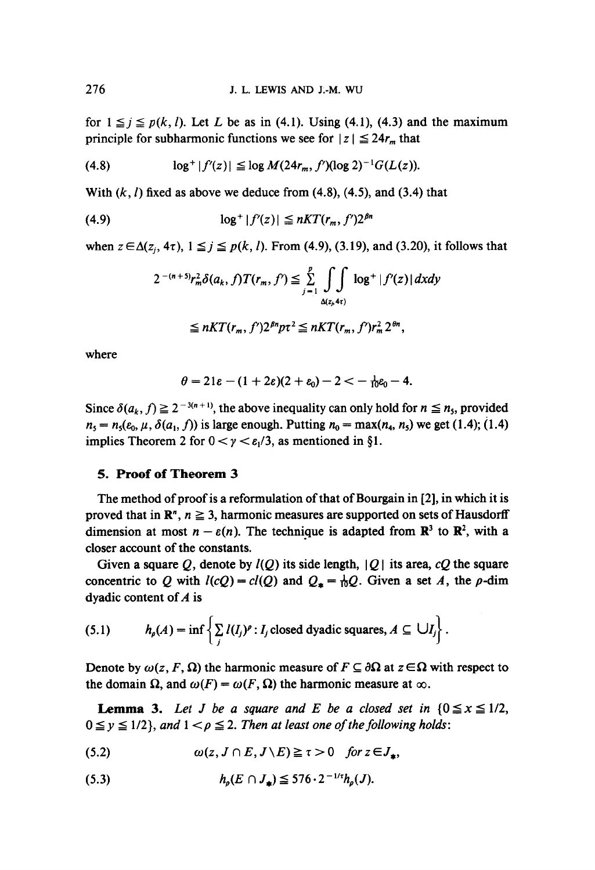for  $1 \leq j \leq p(k, l)$ . Let L be as in (4.1). Using (4.1), (4.3) and the maximum principle for subharmonic functions we see for  $|z| \le 24r_m$  that

$$
(4.8) \tlog^+ |f'(z)| \leq \log M(24r_m, f') (\log 2)^{-1} G(L(z)).
$$

With  $(k, l)$  fixed as above we deduce from (4.8), (4.5), and (3.4) that

$$
(4.9) \qquad \qquad \log^+ |f'(z)| \le nKT(r_m, f')2^{\beta n}
$$

when  $z \in \Delta(z_i, 4\tau)$ ,  $1 \leq j \leq p(k, l)$ . From (4.9), (3.19), and (3.20), it follows that

$$
2^{-(n+5)}r_m^2\delta(a_k,f)T(r_m,f') \leq \sum_{j=1}^p \int\limits_{\Delta(z_j,4\tau)} \log^+|f'(z)|\,dxdy
$$

$$
\leq nKT(r_m, f')2^{\beta n}p\tau^2 \leq nKT(r_m, f')r_m^2 2^{\theta n},
$$

where

$$
\theta=21\varepsilon-(1+2\varepsilon)(2+\varepsilon_0)-2<-\tfrac{1}{10}\varepsilon_0-4.
$$

Since  $\delta(a_k, f) \geq 2^{-3(n+1)}$ , the above inequality can only hold for  $n \leq n_5$ , provided  $n_5 = n_5(\varepsilon_0, \mu, \delta(a_1, f))$  is large enough. Putting  $n_0 = \max(n_4, n_5)$  we get (1.4); (1.4) implies Theorem 2 for  $0 < y < \varepsilon_1/3$ , as mentioned in §1.

## **5. Proof of Theorem 3**

The method of proof is a reformulation of that of Bourgain in [2], in which it is proved that in  $\mathbb{R}^n$ ,  $n \geq 3$ , harmonic measures are supported on sets of Hausdorff dimension at most  $n - \varepsilon(n)$ . The technique is adapted from  $\mathbb{R}^3$  to  $\mathbb{R}^2$ , with a closer account of the constants.

Given a square Q, denote by  $I(Q)$  its side length,  $|Q|$  its area, cQ the square concentric to Q with  $l(cQ) = cl(Q)$  and  $Q_* = \frac{1}{10}Q$ . Given a set A, the p-dim dyadic content of A is

(5.1) 
$$
h_{\rho}(A) = \inf \left\{ \sum_{j} I(I_{j})^{\rho} : I_{j} \text{ closed dyadic squares}, A \subseteq \bigcup I_{j} \right\}.
$$

Denote by  $\omega(z, F, \Omega)$  the harmonic measure of  $F \subseteq \partial \Omega$  at  $z \in \Omega$  with respect to the domain  $\Omega$ , and  $\omega(F) = \omega(F, \Omega)$  the harmonic measure at  $\infty$ .

**Lemma 3.** Let J be a square and E be a closed set in  $\{0 \le x \le 1/2, \ldots\}$  $0 \le y \le 1/2$ , and  $1 < \rho \le 2$ . Then at least one of the following holds:

$$
(5.2) \t\t \omega(z, J \cap E, J \setminus E) \geq \tau > 0 \t for z \in J_{\ast},
$$

$$
(5.3) \t\t\t h_p(E \cap J_*) \leq 576 \cdot 2^{-1/t} h_p(J).
$$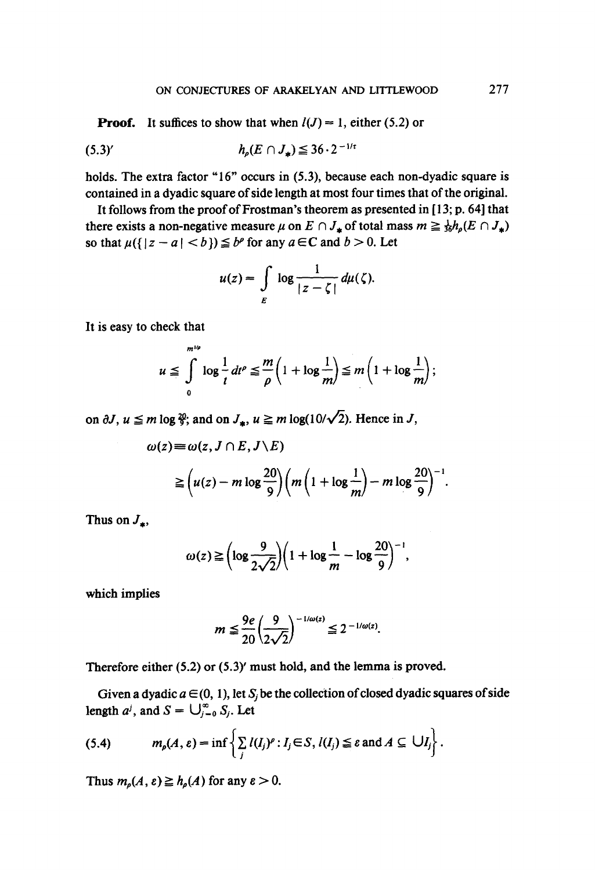**Proof.** It suffices to show that when  $l(J) = 1$ , either (5.2) or

(5.3), *hp(E f7 J,) <* 36.2 -l/\*

holds. The extra factor "16" occurs in (5.3), because each non-dyadic square is contained in a dyadic square of side length at most four times that of the original.

It follows from the proof of Frostman's theorem as presented in  $[13; p. 64]$  that there exists a non-negative measure  $\mu$  on  $E \cap J_*$  of total mass  $m \geq \frac{1}{36} h_\rho(E \cap J_*)$ so that  $\mu({ | z - a | < b}) \leq b^{\rho}$  for any  $a \in \mathbb{C}$  and  $b > 0$ . Let

$$
u(z) = \int\limits_{E} \log \frac{1}{|z-\zeta|} \, d\mu(\zeta).
$$

It is easy to check that

 $m<sub>16</sub>$ 

$$
u \leq \int_{0}^{\frac{m}{m}} \log \frac{1}{t} dt^{\rho} \leq \frac{m}{\rho} \left( 1 + \log \frac{1}{m} \right) \leq m \left( 1 + \log \frac{1}{m} \right),
$$

on  $\partial J$ ,  $u \le m \log \frac{20}{3}$ ; and on  $J_*$ ,  $u \ge m \log(10/\sqrt{2})$ . Hence in J,

$$
\omega(z) \equiv \omega(z, J \cap E, J \setminus E)
$$
  
\n
$$
\geq \left(u(z) - m \log \frac{20}{9}\right) \left(m \left(1 + \log \frac{1}{m}\right) - m \log \frac{20}{9}\right)^{-1}.
$$

Thus on  $J_{\pm}$ ,

$$
\omega(z) \geq \left(\log \frac{9}{2\sqrt{2}}\right)\left(1 + \log \frac{1}{m} - \log \frac{20}{9}\right)^{-1},
$$

which implies

$$
m \leq \frac{9e}{20} \left(\frac{9}{2\sqrt{2}}\right)^{-1/\omega(z)} \leq 2^{-1/\omega(z)}.
$$

Therefore either (5.2) or (5.3)' must hold, and the lemma is proved.

Given a dyadic  $a \in (0, 1)$ , let  $S_i$  be the collection of closed dyadic squares of side length  $a^j$ , and  $S = \bigcup_{i=0}^{\infty} S_i$ . Let

(5.4) 
$$
m_{p}(A, \varepsilon) = \inf \left\{ \sum_{j} l(I_{j})^{p} : I_{j} \in S, l(I_{j}) \leq \varepsilon \text{ and } A \subseteq \bigcup I_{j} \right\}.
$$

Thus  $m_{\rho}(A, \varepsilon) \geq h_{\rho}(A)$  for any  $\varepsilon > 0$ .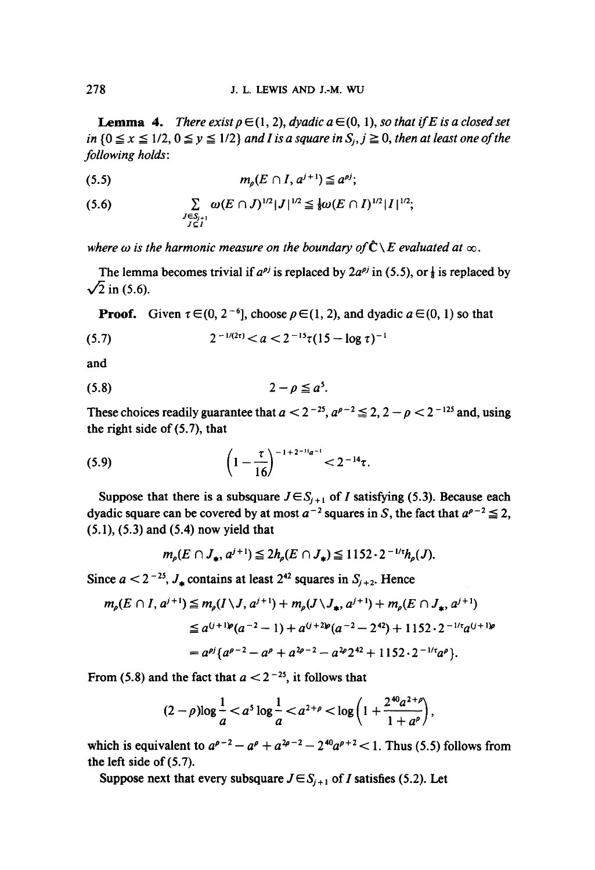**Lemma 4.** *There exist*  $p \in (1, 2)$ *, dyadic a*  $\in (0, 1)$ *, so that if E is a closed set in*  ${0 \le x \le 1/2, 0 \le y \le 1/2}$  *and I is a square in*  $S_i, j \ge 0$ *, then at least one of the following holds:* 

$$
(5.5) \t\t mo(E \cap I, aj+1) \leq aoj;
$$

$$
(5.6) \qquad \qquad \sum_{\substack{J \in S_{j+1} \\ J \subseteq I}} \omega(E \cap J)^{1/2} |J|^{1/2} \leq \frac{1}{8} \omega(E \cap I)^{1/2} |I|^{1/2};
$$

where  $\omega$  is the harmonic measure on the boundary of  $\hat{\mathbb{C}} \setminus E$  evaluated at  $\infty$ .

The lemma becomes trivial if  $a^{\rho j}$  is replaced by  $2a^{\rho j}$  in (5.5), or  $\frac{1}{8}$  is replaced by  $\sqrt{2}$  in (5.6).

**Proof.** Given  $\tau \in (0, 2^{-6}]$ , choose  $\rho \in (1, 2)$ , and dyadic  $a \in (0, 1)$  so that

$$
(5.7) \t2^{-1/(2\tau)} < a < 2^{-15}\tau(15 - \log \tau)^{-1}
$$

and

$$
(5.8) \t\t 2-\rho \leq a^5.
$$

These choices readily guarantee that  $a < 2^{-25}$ ,  $a^{\rho-2} \le 2$ ,  $2 - \rho < 2^{-125}$  and, using the right side of  $(5.7)$ , that

(5.9) 
$$
\left(1-\frac{\tau}{16}\right)^{-1+2^{-11}a^{-1}} < 2^{-14}\tau.
$$

Suppose that there is a subsquare  $J \in S_{i+1}$  of I satisfying (5.3). Because each dyadic square can be covered by at most  $a^{-2}$  squares in S, the fact that  $a^{\rho-2} \le 2$ , (5.1), (5.3) and (5.4) now yield that

$$
m_{\rho}(E \cap J_{\ast}, a^{j+1}) \leq 2h_{\rho}(E \cap J_{\ast}) \leq 1152 \cdot 2^{-1/2}h_{\rho}(J).
$$

Since  $a < 2^{-25}$ ,  $J_*$  contains at least  $2^{42}$  squares in  $S_{i+2}$ . Hence

$$
m_{\rho}(E \cap I, a^{j+1}) \le m_{\rho}(I \setminus J, a^{j+1}) + m_{\rho}(J \setminus J_*, a^{j+1}) + m_{\rho}(E \cap J_*, a^{j+1})
$$
  
\n
$$
\le a^{(j+1)\rho}(a^{-2} - 1) + a^{(j+2)\rho}(a^{-2} - 2^{42}) + 1152 \cdot 2^{-1/r}a^{(j+1)\rho}
$$
  
\n
$$
= a^{\rho j}\{a^{\rho-2} - a^{\rho} + a^{2\rho-2} - a^{2\rho}2^{42} + 1152 \cdot 2^{-1/r}a^{\rho}\}.
$$

From (5.8) and the fact that  $a < 2^{-25}$ , it follows that

$$
(2-\rho)\log\frac{1}{a} < a^5\log\frac{1}{a} < a^{2+\rho} < \log\left(1 + \frac{2^{40}a^{2+\rho}}{1+a^{\rho}}\right),
$$

which is equivalent to  $a^{\rho-2} - a^{\rho} + a^{2\rho-2} - 2^{40}a^{\rho+2} < 1$ . Thus (5.5) follows from the left side of (5.7).

Suppose next that every subsquare  $J \in S_{i+1}$  of *I* satisfies (5.2). Let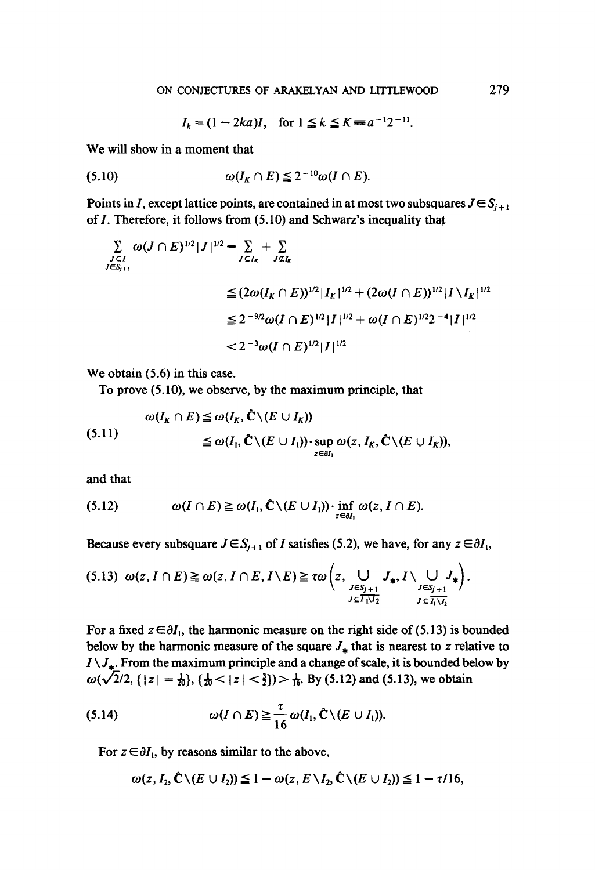$I_k = (1 - 2ka)I$ , for  $1 \le k \le K = a^{-1}2^{-11}$ .

We will **show in a moment that** 

$$
(5.10) \t\t \omega(I_K \cap E) \leq 2^{-10} \omega(I \cap E).
$$

Points in I, except lattice points, are contained in at most two subsquares  $J \in S_{i+1}$ **of I. Therefore, it follows from (5.10) and Schwarz's inequality that** 

$$
\sum_{\substack{J \subseteq I \\ J \in S_{j+1}}} \omega(J \cap E)^{1/2} |J|^{1/2} = \sum_{J \subseteq I_k} + \sum_{J \subseteq I_k} \omega(J \cap E)^{1/2} |I_{k}|^{1/2} + (2\omega(I \cap E))^{1/2} |I \setminus I_k|^{1/2}
$$
  

$$
\leq 2^{-9/2} \omega(I \cap E)^{1/2} |I|^{1/2} + \omega(I \cap E)^{1/2} 2^{-4} |I|^{1/2}
$$
  

$$
< 2^{-3} \omega(I \cap E)^{1/2} |I|^{1/2}
$$

**We obtain (5.6) in this case.** 

**To prove (5.10), we observe, by the maximum principle, that** 

$$
\omega(I_K \cap E) \leq \omega(I_K, \hat{C} \setminus (E \cup I_K))
$$
  
\n
$$
\leq \omega(I_1, \hat{C} \setminus (E \cup I_1)) \cdot \sup_{z \in \partial I_1} \omega(z, I_K, \hat{C} \setminus (E \cup I_K)),
$$

**and that** 

$$
(5.12) \qquad \qquad \omega(I \cap E) \ge \omega(I_1, \hat{\mathbf{C}} \setminus (E \cup I_1)) \cdot \inf_{z \in \partial I_1} \omega(z, I \cap E).
$$

Because every subsquare  $J \in S_{i+1}$  of *I* satisfies (5.2), we have, for any  $z \in \partial I_1$ ,

$$
(5.13) \ \omega(z, I \cap E) \geq \omega(z, I \cap E, I \setminus E) \geq \tau \omega \left(z, \bigcup_{\substack{J \in S_{j+1} \\ J \subseteq I_1 \setminus I_2}} J_{\ast}, I \setminus \bigcup_{\substack{J \in S_{j+1} \\ J \subseteq \overline{I_1 \setminus I_2}}} J_{\ast} \right).
$$

For a fixed  $z \in \partial I_1$ , the harmonic measure on the right side of (5.13) is bounded below by the harmonic measure of the square  $J_{\star}$  that is nearest to z relative to  $I \setminus J_*$ . From the maximum principle and a change of scale, it is bounded below by  $\omega(\sqrt{2}/2, \{ |z| = \frac{1}{20} \}, \{ \frac{1}{20} < |z| < \frac{3}{2} \}) > \frac{1}{16}$ . By (5.12) and (5.13), we obtain

(5.14) 
$$
\omega(I \cap E) \geq \frac{\tau}{16} \omega(I_1, \hat{C} \setminus (E \cup I_1)).
$$

For  $z \in \partial I_1$ , by reasons similar to the above,

$$
\omega(z, I_2, \hat{\mathbf{C}} \setminus (E \cup I_2)) \leq 1 - \omega(z, E \setminus I_2, \hat{\mathbf{C}} \setminus (E \cup I_2)) \leq 1 - \tau/16,
$$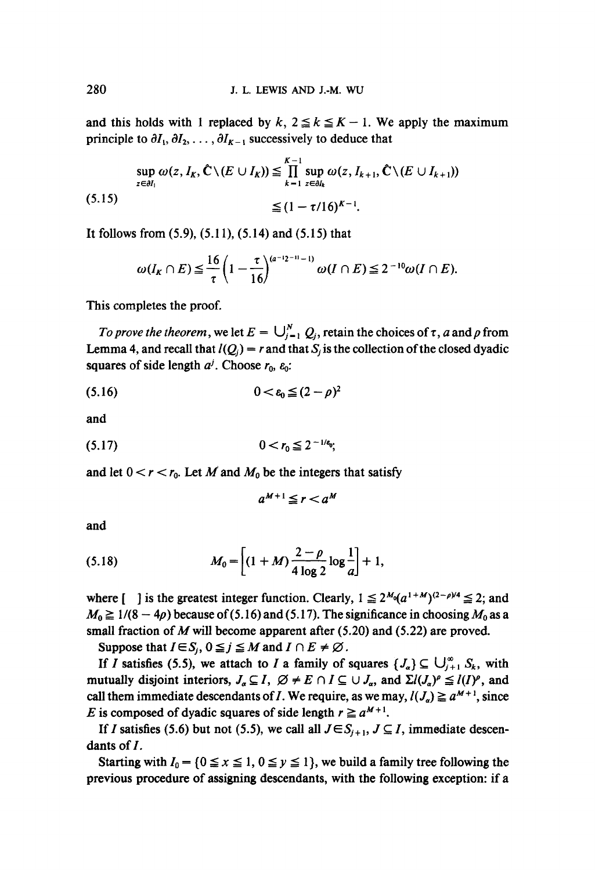and this holds with 1 replaced by  $k, 2 \le k \le K - 1$ . We apply the maximum principle to  $\partial I_1, \partial I_2, \ldots, \partial I_{K-1}$  successively to deduce that

$$
\sup_{z \in \partial I_1} \omega(z, I_K, \hat{\mathbf{C}} \setminus (E \cup I_K)) \leq \prod_{k=1}^{K-1} \sup_{z \in \partial I_k} \omega(z, I_{k+1}, \hat{\mathbf{C}} \setminus (E \cup I_{k+1}))
$$
\n(5.15)\n
$$
\leq (1 - \tau/16)^{K-1}.
$$

It follows from **(5.9), (5.11), (5.14) and (5.15)** that

$$
\omega(I_K \cap E) \leqq \frac{16}{\tau} \left(1 - \frac{\tau}{16}\right)^{(a-2)(-1)} \omega(I \cap E) \leqq 2^{-10} \omega(I \cap E).
$$

This completes the proof.

*To prove the theorem, we let*  $E = \bigcup_{i=1}^{N} Q_i$ , retain the choices of  $\tau$ , a and  $\rho$  from Lemma 4, and recall that  $I(Q_i) = r$  and that  $S_i$  is the collection of the closed dyadic squares of side length  $a^j$ . Choose  $r_0$ ,  $\varepsilon_0$ :

$$
(5.16) \qquad \qquad 0 < \varepsilon_0 \leq (2-\rho)^2
$$

and

$$
(5.17) \t\t 0 < r_0 \leq 2^{-1/6}.
$$

and let  $0 < r < r_0$ . Let M and  $M_0$  be the integers that satisfy

$$
a^{M+1} \leq r < a^M
$$

**and** 

(5.18) 
$$
M_0 = \left[ (1+M) \frac{2-\rho}{4 \log 2} \log \frac{1}{a} \right] + 1,
$$

where  $\left[ \quad \right]$  is the greatest integer function. Clearly,  $1 \le 2^{M_0}(a^{1+M})^{(2-\rho)/4} \le 2$ ; and  $M_0 \ge 1/(8-4\rho)$  because of (5.16) and (5.17). The significance in choosing  $M_0$  as a small fraction of M will become apparent after  $(5.20)$  and  $(5.22)$  are proved.

Suppose that  $I \in S_i$ ,  $0 \le j \le M$  and  $I \cap E \ne \emptyset$ .

If I satisfies (5.5), we attach to I a family of squares  $\{J_{\alpha}\}\subseteq \bigcup_{i=1}^{\infty} S_{k}$ , with mutually disjoint interiors,  $J_a \subseteq I$ ,  $\varnothing \neq E \cap I \subseteq \bigcup J_a$ , and  $\Sigma l(J_a)^p \leq l(I)^p$ , and call them immediate descendants of *I*. We require, as we may,  $l(J_{\alpha}) \ge a^{M+1}$ , since E is composed of dyadic squares of side length  $r \ge a^{M+1}$ .

If I satisfies (5.6) but not (5.5), we call all  $J \in S_{i+1}$ ,  $J \subseteq I$ , immediate descendants of I.

Starting with  $I_0 = \{0 \le x \le 1, 0 \le y \le 1\}$ , we build a family tree following the previous procedure of assigning descendants, with the following exception: if a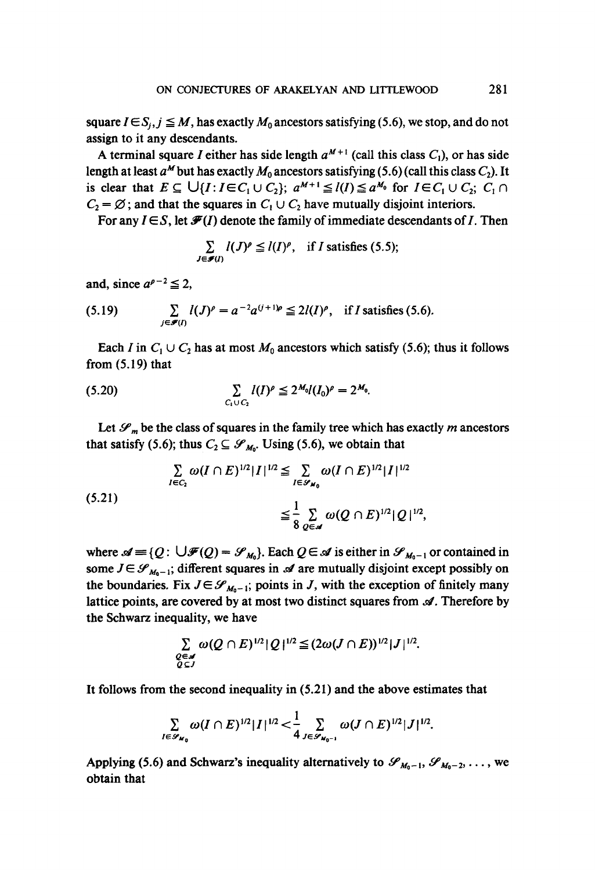square  $I \in S_i$ ,  $j \leq M$ , has exactly  $M_0$  ancestors satisfying (5.6), we stop, and do not assign to it any descendants.

A terminal square I either has side length  $a^{M+1}$  (call this class  $C_1$ ), or has side length at least  $a^M$  but has exactly  $M_0$  ancestors satisfying (5.6) (call this class  $C_2$ ). It is clear that  $E \subseteq \bigcup \{I : I \in C_1 \cup C_2\}; a^{M+1} \leq l(I) \leq a^{M_0}$  for  $I \in C_1 \cup C_2; C_1 \cap C_2$  $C_2 = \emptyset$ ; and that the squares in  $C_1 \cup C_2$  have mutually disjoint interiors.

For any  $I \in S$ , let  $\mathcal{F}(I)$  denote the family of immediate descendants of I. Then

$$
\sum_{J \in \mathscr{F}(I)} l(J)^{\rho} \leq l(I)^{\rho}, \quad \text{if } I \text{ satisfies (5.5);}
$$

and, since  $a^{p-2} \leq 2$ ,

(5.19) 
$$
\sum_{j \in \mathscr{F}(I)} l(J)^{\rho} = a^{-2} a^{(j+1)\rho} \leq 2l(I)^{\rho}, \text{ if } I \text{ satisfies (5.6)}.
$$

Each I in  $C_1 \cup C_2$  has at most  $M_0$  ancestors which satisfy (5.6); thus it follows from  $(5.19)$  that

(5.20) 
$$
\sum_{C_1 \cup C_2} l(I)^{\rho} \leq 2^{M_0} l(I_0)^{\rho} = 2^{M_0}.
$$

Let  $\mathcal{S}_m$  be the class of squares in the family tree which has exactly m ancestors that satisfy (5.6); thus  $C_2 \subseteq \mathcal{S}_{M_0}$ . Using (5.6), we obtain that

$$
\sum_{I \in C_2} \omega(I \cap E)^{1/2} |I|^{1/2} \leq \sum_{I \in \mathscr{S}_{M_0}} \omega(I \cap E)^{1/2} |I|^{1/2}
$$
\n(5.21)\n
$$
\leq \frac{1}{8} \sum_{Q \in \mathscr{A}} \omega(Q \cap E)^{1/2} |Q|^{1/2},
$$

where  $\mathscr{A} \equiv \{Q : \bigcup \mathscr{F}(Q) = \mathscr{S}_{M_0}\}\)$ . Each  $Q \in \mathscr{A}$  is either in  $\mathscr{S}_{M_0-1}$  or contained in some  $J \in \mathscr{S}_{M_0-1}$ ; different squares in  $\mathscr A$  are mutually disjoint except possibly on the boundaries. Fix  $J \in \mathcal{S}_{M_0-1}$ ; points in J, with the exception of finitely many lattice points, are covered by at most two distinct squares from  $\mathscr A$ . Therefore by the Schwarz inequality, we have

$$
\sum_{\substack{Q\in\mathscr{A}\\Q\subseteq J}}\omega(Q\cap E)^{1/2}|\mathcal{Q}|^{1/2}\leq (2\omega(J\cap E))^{1/2}|J|^{1/2}.
$$

**It** follows from the second inequality in **(5.21)** and the above estimates that

$$
\sum_{I\in\mathscr{S}_{M_0}}\omega(I\cap E)^{1/2}|I|^{1/2} < \frac{1}{4}\sum_{J\in\mathscr{S}_{M_0-1}}\omega(J\cap E)^{1/2}|J|^{1/2}.
$$

Applying (5.6) and Schwarz's inequality alternatively to  $\mathscr{S}_{M_0-1}, \mathscr{S}_{M_0-2}, \ldots$ , we obtain that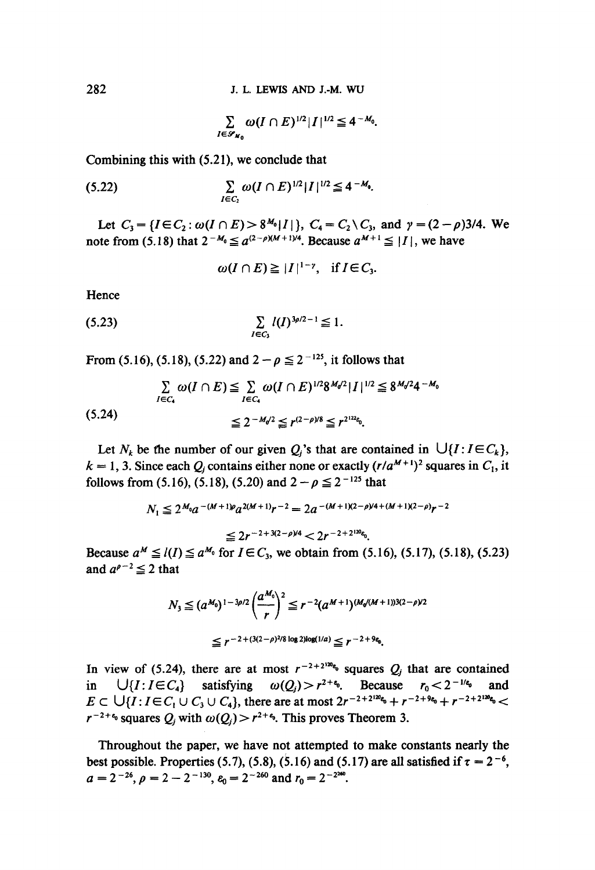$$
\sum_{I\in\mathscr{S}_{M_0}}\omega(I\cap E)^{1/2}|I|^{1/2}\leq 4^{-M_0}.
$$

Combining this with (5.21), we conclude that

(5.22) 
$$
\sum_{I \in C_2} \omega(I \cap E)^{1/2} |I|^{1/2} \leq 4^{-M_0}.
$$

Let  $C_3 = \{I \in C_2 : \omega(I \cap E) > 8^{M_0} |I|\}, C_4 = C_2 \setminus C_3$ , and  $\gamma = (2 - \rho)3/4$ . We note from (5.18) that  $2^{-M_0} \le a^{(2-\rho)(M+1)/4}$ . Because  $a^{M+1} \le |I|$ , we have

$$
\omega(I\cap E)\geq |I|^{1-\gamma}, \quad \text{if } I\in C_3.
$$

Hence

$$
(5.23) \qquad \qquad \sum_{I \in C_3} l(I)^{3\rho/2 - 1} \leq 1.
$$

From (5.16), (5.18), (5.22) and  $2 - p \le 2^{-125}$ , it follows that

$$
\sum_{I \in C_4} \omega(I \cap E) \leq \sum_{I \in C_4} \omega(I \cap E)^{1/2} 8^{M_0/2} |I|^{1/2} \leq 8^{M_0/2} 4^{-M_0}
$$
\n
$$
\leq 2^{-M_0/2} \leq r^{(2-\rho)/8} \leq r^{2^{122}c_0}.
$$

Let  $N_k$  be the number of our given  $Q_i$ 's that are contained in  $\bigcup \{I : I \in C_k\}$ ,  $k = 1, 3$ . Since each  $Q_i$  contains either none or exactly  $(r/a^{M+1})^2$  squares in  $C_i$ , it follows from (5.16), (5.18), (5.20) and  $2 - p \le 2^{-125}$  that

$$
N_1 \le 2^{M_0} a^{-(M+1)\rho} a^{2(M+1)} r^{-2} = 2a^{-(M+1)(2-\rho)4 + (M+1)(2-\rho)} r^{-2}
$$
  

$$
\le 2r^{-2+3(2-\rho)4} < 2r^{-2+2^{120}6}.
$$

Because  $a^M \le l(I) \le a^{M_0}$  for  $I \in C_3$ , we obtain from (5.16), (5.17), (5.18), (5.23) and  $a^{\rho-2} \leq 2$  that

$$
N_3 \leq (a^{M_0})^{1-3\rho/2} \left(\frac{a^{M_0}}{r}\right)^2 \leq r^{-2} (a^{M+1})^{(M_0/(M+1))3(2-\rho)/2}
$$
  

$$
\leq r^{-2+(3(2-\rho)^2/8 \log 2) \log(1/a)} \leq r^{-2+9\epsilon_0}.
$$

In view of (5.24), there are at most  $r^{-2+2^{120}k_0}$  squares  $Q_i$  that are contained in  $\bigcup \{1: I \in C_4\}$  satisfying  $\omega(Q_i) > r^{2+\epsilon_0}$ . Because  $r_0 < 2^{-1/\epsilon_0}$  $E \subset \bigcup \{I : I \in C_1 \cup C_3 \cup C_4\}$ , there are at most  $2r^{-2+2^{120}c_0} + r^{-2+9c_0} + r^{-2+2^{120}c_0}$  $r^{-2+\epsilon_0}$  squares  $Q_i$  with  $\omega(Q_i) > r^{2+\epsilon_0}$ . This proves Theorem 3.

Throughout the paper, we have not attempted to make constants nearly the best possible. Properties (5.7), (5.8), (5.16) and (5.17) are all satisfied if  $\tau = 2^{-6}$ ,  $a = 2^{-26}, \rho = 2 - 2^{-130}, \epsilon_0 = 2^{-260}$  and  $r_0 = 2^{-2260}$ .